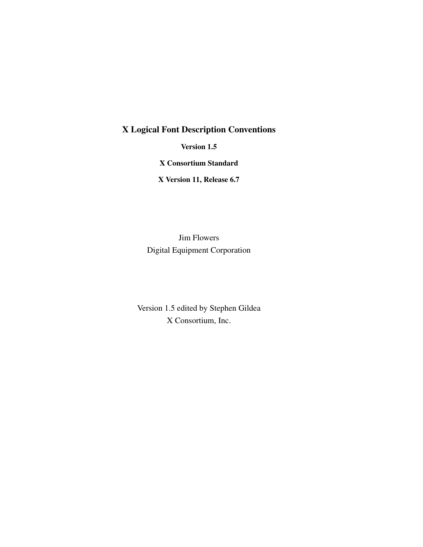# **X Logical Font Description Conventions**

**Version 1.5**

**X Consortium Standard**

**X Version 11, Release 6.7**

Jim Flowers Digital Equipment Corporation

Version 1.5 edited by Stephen Gildea X Consortium, Inc.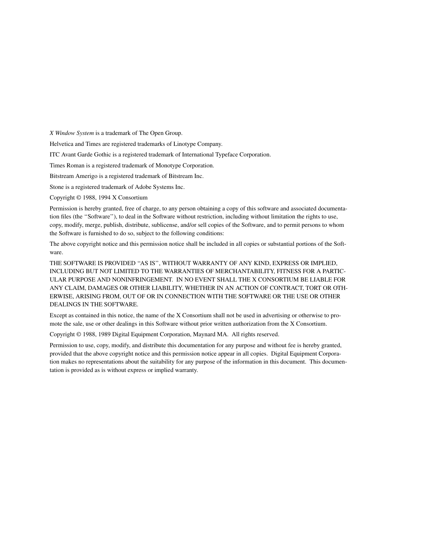*X Window System* is a trademark of The Open Group.

Helvetica and Times are registered trademarks of Linotype Company.

ITC Avant Garde Gothic is a registered trademark of International Typeface Corporation.

Times Roman is a registered trademark of Monotype Corporation.

Bitstream Amerigo is a registered trademark of Bitstream Inc.

Stone is a registered trademark of Adobe Systems Inc.

Copyright © 1988, 1994 X Consortium

Permission is hereby granted, free of charge, to any person obtaining a copy of this software and associated documentation files (the ''Software''), to deal in the Software without restriction, including without limitation the rights to use, copy, modify, merge, publish, distribute, sublicense, and/or sell copies of the Software, and to permit persons to whom the Software is furnished to do so, subject to the following conditions:

The above copyright notice and this permission notice shall be included in all copies or substantial portions of the Software.

THE SOFTWARE IS PROVIDED ''AS IS'', WITHOUT WARRANTY OF ANY KIND, EXPRESS OR IMPLIED, INCLUDING BUT NOT LIMITED TO THE WARRANTIES OF MERCHANTABILITY, FITNESS FOR A PARTIC-ULAR PURPOSE AND NONINFRINGEMENT. IN NO EVENT SHALL THE X CONSORTIUM BE LIABLE FOR ANY CLAIM, DAMAGES OR OTHER LIABILITY, WHETHER IN AN ACTION OF CONTRACT, TORT OR OTH-ERWISE, ARISING FROM, OUT OF OR IN CONNECTION WITH THE SOFTWARE OR THE USE OR OTHER DEALINGS IN THE SOFTWARE.

Except as contained in this notice, the name of the X Consortium shall not be used in advertising or otherwise to promote the sale, use or other dealings in this Software without prior written authorization from the X Consortium.

Copyright © 1988, 1989 Digital Equipment Corporation, Maynard MA. All rights reserved.

Permission to use, copy, modify, and distribute this documentation for any purpose and without fee is hereby granted, provided that the above copyright notice and this permission notice appear in all copies. Digital Equipment Corporation makes no representations about the suitability for any purpose of the information in this document. This documentation is provided as is without express or implied warranty.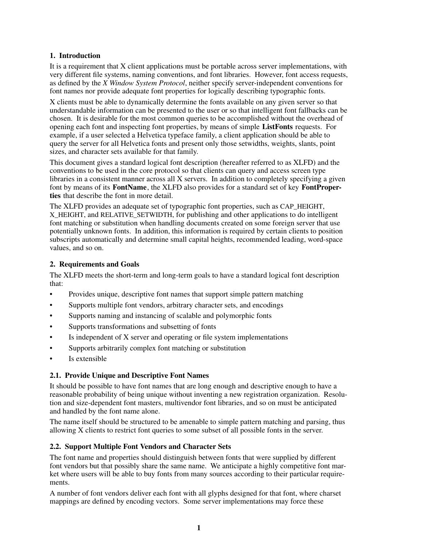#### **1. Introduction**

It is a requirement that X client applications must be portable across server implementations, with very different file systems, naming conventions, and font libraries. However, font access requests, as defined by the *X Window System Protocol*, neither specify server-independent conventions for font names nor provide adequate font properties for logically describing typographic fonts.

X clients must be able to dynamically determine the fonts available on any given server so that understandable information can be presented to the user or so that intelligent font fallbacks can be chosen. It is desirable for the most common queries to be accomplished without the overhead of opening each font and inspecting font properties, by means of simple **ListFonts** requests. For example, if a user selected a Helvetica typeface family, a client application should be able to query the server for all Helvetica fonts and present only those setwidths, weights, slants, point sizes, and character sets available for that family.

This document gives a standard logical font description (hereafter referred to as XLFD) and the conventions to be used in the core protocol so that clients can query and access screen type libraries in a consistent manner across all  $X$  servers. In addition to completely specifying a given font by means of its **FontName**, the XLFD also provides for a standard set of key **FontProperties** that describe the font in more detail.

The XLFD provides an adequate set of typographic font properties, such as CAP\_HEIGHT, X HEIGHT, and RELATIVE SETWIDTH, for publishing and other applications to do intelligent font matching or substitution when handling documents created on some foreign server that use potentially unknown fonts. In addition, this information is required by certain clients to position subscripts automatically and determine small capital heights, recommended leading, word-space values, and so on.

#### **2. Requirements and Goals**

The XLFD meets the short-term and long-term goals to have a standard logical font description that:

- Provides unique, descriptive font names that support simple pattern matching
- Supports multiple font vendors, arbitrary character sets, and encodings
- Supports naming and instancing of scalable and polymorphic fonts
- Supports transformations and subsetting of fonts
- Is independent of X server and operating or file system implementations
- Supports arbitrarily complex font matching or substitution
- Is extensible

#### **2.1. Provide Unique and Descriptive Font Names**

It should be possible to have font names that are long enough and descriptive enough to have a reasonable probability of being unique without inventing a new registration organization. Resolution and size-dependent font masters, multivendor font libraries, and so on must be anticipated and handled by the font name alone.

The name itself should be structured to be amenable to simple pattern matching and parsing, thus allowing X clients to restrict font queries to some subset of all possible fonts in the server.

#### **2.2. Support Multiple Font Vendors and Character Sets**

The font name and properties should distinguish between fonts that were supplied by different font vendors but that possibly share the same name. We anticipate a highly competitive font market where users will be able to buy fonts from many sources according to their particular requirements.

A number of font vendors deliver each font with all glyphs designed for that font, where charset mappings are defined by encoding vectors. Some server implementations may force these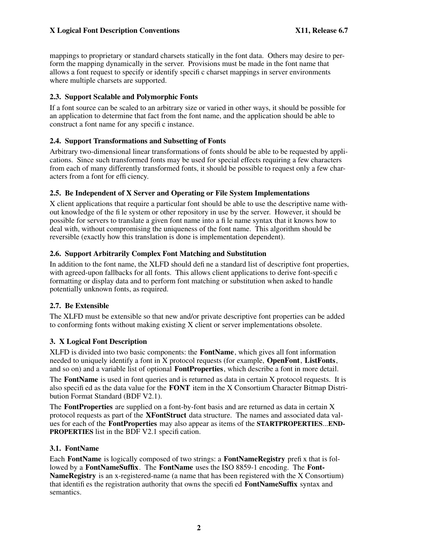mappings to proprietary or standard charsets statically in the font data. Others may desire to perform the mapping dynamically in the server. Provisions must be made in the font name that allows a font request to specify or identify specific charset mappings in server environments where multiple charsets are supported.

### **2.3. Support Scalable and Polymorphic Fonts**

If a font source can be scaled to an arbitrary size or varied in other ways, it should be possible for an application to determine that fact from the font name, and the application should be able to construct a font name for any specific instance.

### **2.4. Support Transformations and Subsetting of Fonts**

Arbitrary two-dimensional linear transformations of fonts should be able to be requested by applications. Since such transformed fonts may be used for special effects requiring a few characters from each of many differently transformed fonts, it should be possible to request only a few characters from a font for efficiency.

### **2.5. Be Independent of X Server and Operating or File System Implementations**

X client applications that require a particular font should be able to use the descriptive name without knowledge of the file system or other repository in use by the server. However, it should be possible for servers to translate a given font name into a file name syntax that it knows how to deal with, without compromising the uniqueness of the font name. This algorithm should be reversible (exactly how this translation is done is implementation dependent).

### **2.6. Support Arbitrarily Complex Font Matching and Substitution**

In addition to the font name, the XLFD should define a standard list of descriptive font properties, with agreed-upon fallbacks for all fonts. This allows client applications to derive font-specific formatting or display data and to perform font matching or substitution when asked to handle potentially unknown fonts, as required.

# **2.7. Be Extensible**

The XLFD must be extensible so that new and/or private descriptive font properties can be added to conforming fonts without making existing X client or server implementations obsolete.

### **3. X Logical Font Description**

XLFD is divided into two basic components: the **FontName**, which gives all font information needed to uniquely identify a font in X protocol requests (for example, **OpenFont**, **ListFonts**, and so on) and a variable list of optional **FontProperties**, which describe a font in more detail.

The **FontName** is used in font queries and is returned as data in certain X protocol requests. It is also specified as the data value for the **FONT** item in the X Consortium Character Bitmap Distribution Format Standard (BDF V2.1).

The **FontProperties** are supplied on a font-by-font basis and are returned as data in certain X protocol requests as part of the **XFontStruct** data structure. The names and associated data values for each of the **FontProperties** may also appear as items of the **STARTPROPERTIES**...**END-PROPERTIES** list in the BDF V2.1 specification.

# **3.1. FontName**

Each **FontName** is logically composed of two strings: a **FontNameRegistry** prefix that is followed by a **FontNameSuffix**. The **FontName** uses the ISO 8859-1 encoding. The **Font-NameRegistry** is an x-registered-name (a name that has been registered with the X Consortium) that identifies the registration authority that owns the specified **FontNameSuffix** syntax and semantics.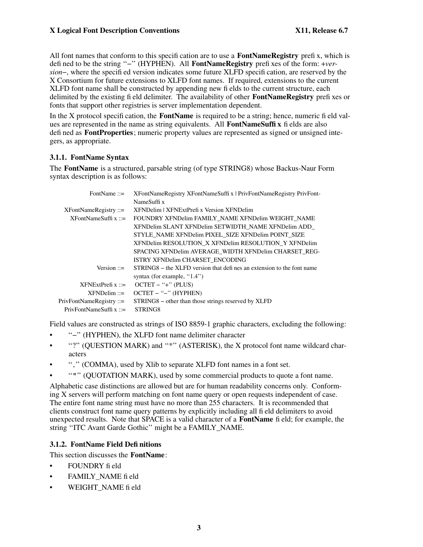All font names that conform to this specification are to use a **FontNameRegistry** prefix, which is defined to be the string ''−'' (HYPHEN). All **FontNameRegistry** prefixes of the form: +*version*−, where the specified version indicates some future XLFD specification, are reserved by the X Consortium for future extensions to XLFD font names. If required, extensions to the current XLFD font name shall be constructed by appending new fields to the current structure, each delimited by the existing field delimiter. The availability of other **FontNameRegistry** prefixes or fonts that support other registries is server implementation dependent.

In the X protocol specification, the **FontName** is required to be a string; hence, numeric field values are represented in the name as string equivalents. All **FontNameSuffix** fields are also defined as **FontProperties**; numeric property values are represented as signed or unsigned integers, as appropriate.

### **3.1.1. FontName Syntax**

The **FontName** is a structured, parsable string (of type STRING8) whose Backus-Naur Form syntax description is as follows:

| FontName $\equiv$         | XFontNameRegistry XFontNameSuffi x   PrivFontNameRegistry PrivFont-   |
|---------------------------|-----------------------------------------------------------------------|
|                           | NameSuffi x                                                           |
| $XFontNameRegistry :: =$  | XFNDelim   XFNExtPrefi x Version XFNDelim                             |
| $X$ FontNameSuffi x ::=   | FOUNDRY XFNDelim FAMILY NAME XFNDelim WEIGHT NAME                     |
|                           | XFNDelim SLANT XFNDelim SETWIDTH NAME XFNDelim ADD                    |
|                           | STYLE_NAME XFNDelim PIXEL_SIZE XFNDelim POINT_SIZE                    |
|                           | XFNDelim RESOLUTION X XFNDelim RESOLUTION Y XFNDelim                  |
|                           | SPACING XFNDelim AVERAGE WIDTH XFNDelim CHARSET REG-                  |
|                           | ISTRY XFNDelim CHARSET_ENCODING                                       |
| Version $\mathrel{::}=$   | STRING8 – the XLFD version that defines an extension to the font name |
|                           | syntax (for example, " $1.4$ ")                                       |
| $XFNExtPrefi x ::=$       | $OCTET - "+'$ (PLUS)                                                  |
| $XFNDelim ::=$            | $OCTET - "-'$ (HYPHEN)                                                |
| PrivFontNameRegistry ::=  | STRING8 – other than those strings reserved by XLFD                   |
| PrivFontNameSuffi $x ::=$ | STRING8                                                               |
|                           |                                                                       |

Field values are constructed as strings of ISO 8859-1 graphic characters, excluding the following:

- ''−'' (HYPHEN), the XLFD font name delimiter character
- ''?'' (QUESTION MARK) and ''\*'' (ASTERISK), the X protocol font name wildcard characters
- '','' (COMMA), used by Xlib to separate XLFD font names in a font set.
- """ (OUOTATION MARK), used by some commercial products to quote a font name.

Alphabetic case distinctions are allowed but are for human readability concerns only. Conforming X servers will perform matching on font name query or open requests independent of case. The entire font name string must have no more than 255 characters. It is recommended that clients construct font name query patterns by explicitly including all field delimiters to avoid unexpected results. Note that SPACE is a valid character of a **FontName** field; for example, the string ''ITC Avant Garde Gothic'' might be a FAMILY\_NAME.

### **3.1.2. FontName Field Definitions**

This section discusses the **FontName**:

- FOUNDRY field
- FAMILY NAME field
- WEIGHT\_NAME field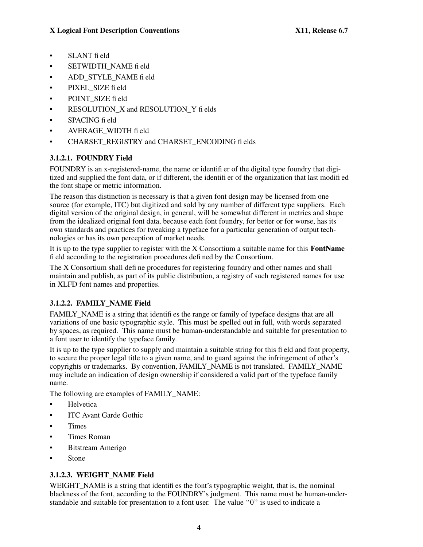- SLANT field
- SETWIDTH\_NAME fi eld
- ADD\_STYLE\_NAME field
- PIXEL\_SIZE fi eld
- POINT\_SIZE fi eld
- RESOLUTION X and RESOLUTION Y fields
- SPACING field
- AVERAGE\_WIDTH field
- CHARSET\_REGISTRY and CHARSET\_ENCODING fi elds

# **3.1.2.1. FOUNDRY Field**

FOUNDRY is an x-registered-name, the name or identifier of the digital type foundry that digitized and supplied the font data, or if different, the identifier of the organization that last modified the font shape or metric information.

The reason this distinction is necessary is that a given font design may be licensed from one source (for example, ITC) but digitized and sold by any number of different type suppliers. Each digital version of the original design, in general, will be somewhat different in metrics and shape from the idealized original font data, because each font foundry, for better or for worse, has its own standards and practices for tweaking a typeface for a particular generation of output technologies or has its own perception of market needs.

It is up to the type supplier to register with the X Consortium a suitable name for this **FontName** field according to the registration procedures defined by the Consortium.

The X Consortium shall define procedures for registering foundry and other names and shall maintain and publish, as part of its public distribution, a registry of such registered names for use in XLFD font names and properties.

# **3.1.2.2. FAMILY\_NAME Field**

FAMILY NAME is a string that identifies the range or family of typeface designs that are all variations of one basic typographic style. This must be spelled out in full, with words separated by spaces, as required. This name must be human-understandable and suitable for presentation to a font user to identify the typeface family.

It is up to the type supplier to supply and maintain a suitable string for this field and font property, to secure the proper legal title to a given name, and to guard against the infringement of other's copyrights or trademarks. By convention, FAMILY\_NAME is not translated. FAMILY\_NAME may include an indication of design ownership if considered a valid part of the typeface family name.

The following are examples of FAMILY\_NAME:

- **Helvetica**
- **ITC** Avant Garde Gothic
- Times
- Times Roman
- Bitstream Amerigo
- Stone

# **3.1.2.3. WEIGHT\_NAME Field**

WEIGHT\_NAME is a string that identifies the font's typographic weight, that is, the nominal blackness of the font, according to the FOUNDRY's judgment. This name must be human-understandable and suitable for presentation to a font user. The value ''0'' is used to indicate a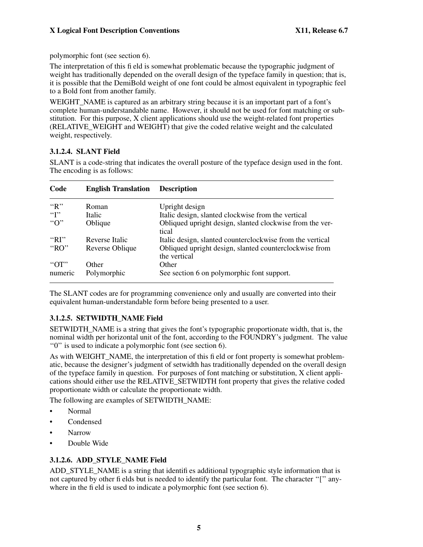polymorphic font (see section 6).

The interpretation of this field is somewhat problematic because the typographic judgment of weight has traditionally depended on the overall design of the typeface family in question; that is, it is possible that the DemiBold weight of one font could be almost equivalent in typographic feel to a Bold font from another family.

WEIGHT\_NAME is captured as an arbitrary string because it is an important part of a font's complete human-understandable name. However, it should not be used for font matching or substitution. For this purpose, X client applications should use the weight-related font properties (RELATIVE\_WEIGHT and WEIGHT) that give the coded relative weight and the calculated weight, respectively.

### **3.1.2.4. SLANT Field**

SLANT is a code-string that indicates the overall posture of the typeface design used in the font. The encoding is as follows:

| Code            | <b>English Translation</b> | <b>Description</b>                                                     |
|-----------------|----------------------------|------------------------------------------------------------------------|
| $\lq\lq R$ "    | Roman                      | Upright design                                                         |
| $\mathbf{``T'}$ | Italic                     | Italic design, slanted clockwise from the vertical                     |
|                 | Oblique                    | Obliqued upright design, slanted clockwise from the ver-<br>tical      |
| " $RI$ "        | Reverse Italic             | Italic design, slanted counterclockwise from the vertical              |
| "RO"            | Reverse Oblique            | Obliqued upright design, slanted counterclockwise from<br>the vertical |
| $\lq\lq$ OT"    | Other                      | Other                                                                  |
| numeric         | Polymorphic                | See section 6 on polymorphic font support.                             |

The SLANT codes are for programming convenience only and usually are converted into their equivalent human-understandable form before being presented to a user.

### **3.1.2.5. SETWIDTH\_NAME Field**

SETWIDTH\_NAME is a string that gives the font's typographic proportionate width, that is, the nominal width per horizontal unit of the font, according to the FOUNDRY's judgment. The value ''0'' is used to indicate a polymorphic font (see section 6).

As with WEIGHT\_NAME, the interpretation of this field or font property is somewhat problematic, because the designer's judgment of setwidth has traditionally depended on the overall design of the typeface family in question. For purposes of font matching or substitution, X client applications should either use the RELATIVE\_SETWIDTH font property that gives the relative coded proportionate width or calculate the proportionate width.

The following are examples of SETWIDTH\_NAME:

- Normal
- Condensed
- Narrow
- Double Wide

### **3.1.2.6. ADD\_STYLE\_NAME Field**

ADD\_STYLE\_NAME is a string that identifies additional typographic style information that is not captured by other fields but is needed to identify the particular font. The character "[" anywhere in the field is used to indicate a polymorphic font (see section 6).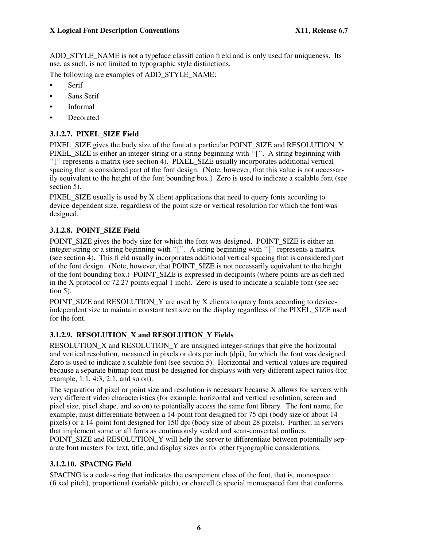ADD\_STYLE\_NAME is not a typeface classification field and is only used for uniqueness. Its use, as such, is not limited to typographic style distinctions.

The following are examples of ADD\_STYLE\_NAME:

- Serif
- Sans Serif
- Informal
- **Decorated**

### **3.1.2.7. PIXEL\_SIZE Field**

PIXEL\_SIZE gives the body size of the font at a particular POINT\_SIZE and RESOLUTION\_Y. PIXEL\_SIZE is either an integer-string or a string beginning with "[". A string beginning with ''['' represents a matrix (see section 4). PIXEL\_SIZE usually incorporates additional vertical spacing that is considered part of the font design. (Note, however, that this value is not necessarily equivalent to the height of the font bounding box.) Zero is used to indicate a scalable font (see section 5).

PIXEL\_SIZE usually is used by X client applications that need to query fonts according to device-dependent size, regardless of the point size or vertical resolution for which the font was designed.

### **3.1.2.8. POINT\_SIZE Field**

POINT\_SIZE gives the body size for which the font was designed. POINT\_SIZE is either an integer-string or a string beginning with "[". A string beginning with "[" represents a matrix (see section 4). This field usually incorporates additional vertical spacing that is considered part of the font design. (Note, however, that POINT\_SIZE is not necessarily equivalent to the height of the font bounding box.) POINT\_SIZE is expressed in decipoints (where points are as defined in the X protocol or 72.27 points equal 1 inch). Zero is used to indicate a scalable font (see section  $5$ ).

POINT\_SIZE and RESOLUTION\_Y are used by X clients to query fonts according to deviceindependent size to maintain constant text size on the display regardless of the PIXEL\_SIZE used for the font.

### **3.1.2.9. RESOLUTION\_X and RESOLUTION\_Y Fields**

RESOLUTION\_X and RESOLUTION\_Y are unsigned integer-strings that give the horizontal and vertical resolution, measured in pixels or dots per inch (dpi), for which the font was designed. Zero is used to indicate a scalable font (see section 5). Horizontal and vertical values are required because a separate bitmap font must be designed for displays with very different aspect ratios (for example, 1:1, 4:3, 2:1, and so on).

The separation of pixel or point size and resolution is necessary because X allows for servers with very different video characteristics (for example, horizontal and vertical resolution, screen and pixel size, pixel shape, and so on) to potentially access the same font library. The font name, for example, must differentiate between a 14-point font designed for 75 dpi (body size of about 14 pixels) or a 14-point font designed for 150 dpi (body size of about 28 pixels). Further, in servers that implement some or all fonts as continuously scaled and scan-converted outlines, POINT\_SIZE and RESOLUTION\_Y will help the server to differentiate between potentially separate font masters for text, title, and display sizes or for other typographic considerations.

### **3.1.2.10. SPACING Field**

SPACING is a code-string that indicates the escapement class of the font, that is, monospace (fixed pitch), proportional (variable pitch), or charcell (a special monospaced font that conforms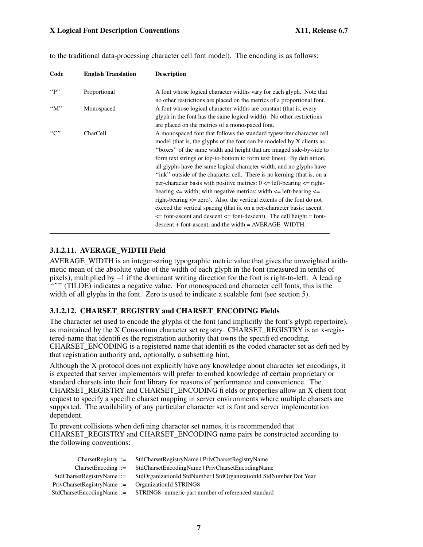| Code | <b>English Translation</b> | <b>Description</b>                                                                                                                                                                                                                                                                                                                                                                                                                                                                                                                                                                                                                                                                                                                                                                                                                                                                                                    |
|------|----------------------------|-----------------------------------------------------------------------------------------------------------------------------------------------------------------------------------------------------------------------------------------------------------------------------------------------------------------------------------------------------------------------------------------------------------------------------------------------------------------------------------------------------------------------------------------------------------------------------------------------------------------------------------------------------------------------------------------------------------------------------------------------------------------------------------------------------------------------------------------------------------------------------------------------------------------------|
| ``P" | Proportional               | A font whose logical character widths vary for each glyph. Note that<br>no other restrictions are placed on the metrics of a proportional font.                                                                                                                                                                                                                                                                                                                                                                                                                                                                                                                                                                                                                                                                                                                                                                       |
| "M"  | Monospaced                 | A font whose logical character widths are constant (that is, every<br>glyph in the font has the same logical width). No other restrictions<br>are placed on the metrics of a monospaced font.                                                                                                                                                                                                                                                                                                                                                                                                                                                                                                                                                                                                                                                                                                                         |
|      | CharCell                   | A monospaced font that follows the standard typewriter character cell<br>model (that is, the glyphs of the font can be modeled by X clients as<br>"boxes" of the same width and height that are imaged side-by-side to<br>form text strings or top-to-bottom to form text lines). By definition,<br>all glyphs have the same logical character width, and no glyphs have<br>"ink" outside of the character cell. There is no kerning (that is, on a<br>per-character basis with positive metrics: $0 \leq$ left-bearing $\leq$ right-<br>bearing $\le$ width; with negative metrics: width $\le$ left-bearing $\le$<br>right-bearing $\le$ zero). Also, the vertical extents of the font do not<br>exceed the vertical spacing (that is, on a per-character basis: ascent<br>$\le$ font-ascent and descent $\le$ font-descent). The cell height = font-<br>$descent + font-ascent$ , and the width $= AVERAGE$ WIDTH. |

to the traditional data-processing character cell font model). The encoding is as follows:

### **3.1.2.11. AVERAGE\_WIDTH Field**

AVERAGE\_WIDTH is an integer-string typographic metric value that gives the unweighted arithmetic mean of the absolute value of the width of each glyph in the font (measured in tenths of pixels), multiplied by −1 if the dominant writing direction for the font is right-to-left. A leading """ (TILDE) indicates a negative value. For monospaced and character cell fonts, this is the width of all glyphs in the font. Zero is used to indicate a scalable font (see section 5).

#### **3.1.2.12. CHARSET\_REGISTRY and CHARSET\_ENCODING Fields**

The character set used to encode the glyphs of the font (and implicitly the font's glyph repertoire), as maintained by the X Consortium character set registry. CHARSET\_REGISTRY is an x-registered-name that identifies the registration authority that owns the specified encoding. CHARSET\_ENCODING is a registered name that identifies the coded character set as defined by that registration authority and, optionally, a subsetting hint.

Although the X protocol does not explicitly have any knowledge about character set encodings, it is expected that server implementors will prefer to embed knowledge of certain proprietary or standard charsets into their font library for reasons of performance and convenience. The CHARSET\_REGISTRY and CHARSET\_ENCODING fields or properties allow an X client font request to specify a specific charset mapping in server environments where multiple charsets are supported. The availability of any particular character set is font and server implementation dependent.

To prevent collisions when defining character set names, it is recommended that CHARSET\_REGISTRY and CHARSET\_ENCODING name pairs be constructed according to the following conventions:

|                                 | CharsetRegistry ::= StdCharsetRegistryName   PrivCharsetRegistryName          |
|---------------------------------|-------------------------------------------------------------------------------|
| $CharacterEncoding ::=$         | StdCharsetEncodingName   PrivCharsetEncodingName                              |
| StdCharacterRequest             | StdOrganizationId StdNumber   StdOrganizationId StdNumber Dot Year            |
| $PrivCharacterRegistryName ::=$ | OrganizationId STRING8                                                        |
|                                 | StdCharsetEncodingName ::= STRING8-numeric part number of referenced standard |
|                                 |                                                                               |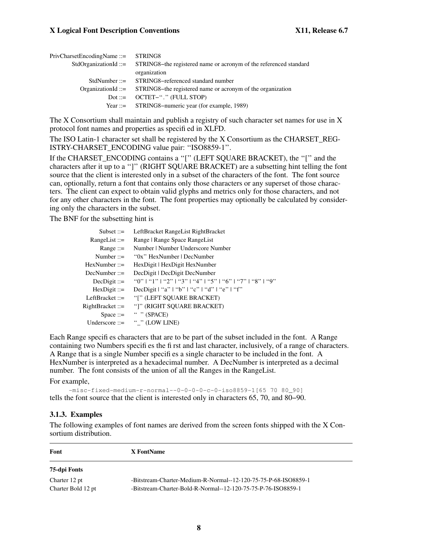| PrivCharsetEncodingName::= STRING8 |                                                                                         |
|------------------------------------|-----------------------------------------------------------------------------------------|
|                                    | StdOrganizationId ::= STRING8-the registered name or acronym of the referenced standard |
|                                    | organization                                                                            |
|                                    | StdNumber ::= STRING8-referenced standard number                                        |
|                                    | OrganizationId ::= STRING8-the registered name or acronym of the organization           |
|                                    | Dot ::= OCTET-"." (FULL STOP)                                                           |
|                                    | Year ::= STRING8-numeric year (for example, 1989)                                       |
|                                    |                                                                                         |

The X Consortium shall maintain and publish a registry of such character set names for use in X protocol font names and properties as specified in XLFD.

The ISO Latin-1 character set shall be registered by the X Consortium as the CHARSET\_REG-ISTRY-CHARSET\_ENCODING value pair: ''ISO8859-1''.

If the CHARSET\_ENCODING contains a "[" (LEFT SOUARE BRACKET), the "[" and the characters after it up to a '']'' (RIGHT SQUARE BRACKET) are a subsetting hint telling the font source that the client is interested only in a subset of the characters of the font. The font source can, optionally, return a font that contains only those characters or any superset of those characters. The client can expect to obtain valid glyphs and metrics only for those characters, and not for any other characters in the font. The font properties may optionally be calculated by considering only the characters in the subset.

The BNF for the subsetting hint is

| LeftBracket RangeList RightBracket                        |
|-----------------------------------------------------------|
| Range   Range Space RangeList                             |
| Number   Number Underscore Number                         |
| "0x" HexNumber   DecNumber                                |
| HexDigit   HexDigit HexNumber                             |
| DecDigit   DecDigit DecNumber                             |
| "0"   "1"   "2"   "3"   "4"   "5"   "6"   "7"   "8"   "9" |
| DecDigit   "a"   "b"   "c"   "d"   "e"   "f"              |
| "[" (LEFT SQUARE BRACKET)                                 |
| "]" (RIGHT SQUARE BRACKET)                                |
| " " $(SPACE)$                                             |
| " $"$ (LOW LINE)                                          |
|                                                           |

Each Range specifies characters that are to be part of the subset included in the font. A Range containing two Numbers specifies the first and last character, inclusively, of a range of characters. A Range that is a single Number specifies a single character to be included in the font. A HexNumber is interpreted as a hexadecimal number. A DecNumber is interpreted as a decimal number. The font consists of the union of all the Ranges in the RangeList.

#### For example,

-misc-fixed-medium-r-normal--0-0-0-0-c-0-iso8859-1[65 70 80\_90] tells the font source that the client is interested only in characters 65, 70, and 80−90.

#### **3.1.3. Examples**

The following examples of font names are derived from the screen fonts shipped with the X Consortium distribution.

| Font               | X FontName                                                      |  |
|--------------------|-----------------------------------------------------------------|--|
| 75-dpi Fonts       |                                                                 |  |
| Charter 12 pt      | -Bitstream-Charter-Medium-R-Normal--12-120-75-75-P-68-ISO8859-1 |  |
| Charter Bold 12 pt | -Bitstream-Charter-Bold-R-Normal--12-120-75-75-P-76-ISO8859-1   |  |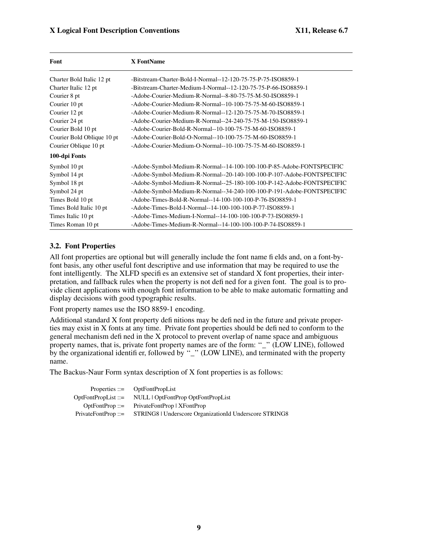| Font                       | <b>X</b> FontName                                                      |
|----------------------------|------------------------------------------------------------------------|
| Charter Bold Italic 12 pt  | -Bitstream-Charter-Bold-I-Normal--12-120-75-75-P-75-ISO8859-1          |
| Charter Italic 12 pt       | -Bitstream-Charter-Medium-I-Normal--12-120-75-75-P-66-ISO8859-1        |
| Courier 8 pt               | -Adobe-Courier-Medium-R-Normal--8-80-75-75-M-50-ISO8859-1              |
| Courier 10 pt              | -Adobe-Courier-Medium-R-Normal--10-100-75-75-M-60-ISO8859-1            |
| Courier 12 pt              | -Adobe-Courier-Medium-R-Normal--12-120-75-75-M-70-ISO8859-1            |
| Courier 24 pt              | -Adobe-Courier-Medium-R-Normal--24-240-75-75-M-150-ISO8859-1           |
| Courier Bold 10 pt         | -Adobe-Courier-Bold-R-Normal--10-100-75-75-M-60-ISO8859-1              |
| Courier Bold Oblique 10 pt | -Adobe-Courier-Bold-O-Normal--10-100-75-75-M-60-ISO8859-1              |
| Courier Oblique 10 pt      | -Adobe-Courier-Medium-O-Normal--10-100-75-75-M-60-ISO8859-1            |
| 100-dpi Fonts              |                                                                        |
| Symbol 10 pt               | -Adobe-Symbol-Medium-R-Normal--14-100-100-100-P-85-Adobe-FONTSPECIFIC  |
| Symbol 14 pt               | -Adobe-Symbol-Medium-R-Normal--20-140-100-100-P-107-Adobe-FONTSPECIFIC |
| Symbol 18 pt               | -Adobe-Symbol-Medium-R-Normal--25-180-100-100-P-142-Adobe-FONTSPECIFIC |
| Symbol 24 pt               | -Adobe-Symbol-Medium-R-Normal--34-240-100-100-P-191-Adobe-FONTSPECIFIC |
| Times Bold 10 pt           | -Adobe-Times-Bold-R-Normal--14-100-100-100-P-76-ISO8859-1              |
| Times Bold Italic 10 pt    | -Adobe-Times-Bold-I-Normal--14-100-100-100-P-77-ISO8859-1              |
| Times Italic 10 pt         | -Adobe-Times-Medium-I-Normal--14-100-100-100-P-73-ISO8859-1            |
| Times Roman 10 pt          | -Adobe-Times-Medium-R-Normal--14-100-100-100-P-74-ISO8859-1            |

#### **3.2. Font Properties**

All font properties are optional but will generally include the font name fields and, on a font-byfont basis, any other useful font descriptive and use information that may be required to use the font intelligently. The XLFD specifies an extensive set of standard X font properties, their interpretation, and fallback rules when the property is not defined for a given font. The goal is to provide client applications with enough font information to be able to make automatic formatting and display decisions with good typographic results.

Font property names use the ISO 8859-1 encoding.

Additional standard X font property definitions may be defined in the future and private properties may exist in X fonts at any time. Private font properties should be defined to conform to the general mechanism defined in the X protocol to prevent overlap of name space and ambiguous property names, that is, private font property names are of the form: "\_" (LOW LINE), followed by the organizational identifier, followed by "\_" (LOW LINE), and terminated with the property name.

The Backus-Naur Form syntax description of X font properties is as follows:

| $Properties ::= \quad OptFontPropList$                                     |
|----------------------------------------------------------------------------|
| OptFontPropList ::= NULL   OptFontProp OptFontPropList                     |
| $OptFontProp ::= \text{PrivateFontProp} \mid XFontProp$                    |
| PrivateFontProp ::= STRING8   Underscore OrganizationId Underscore STRING8 |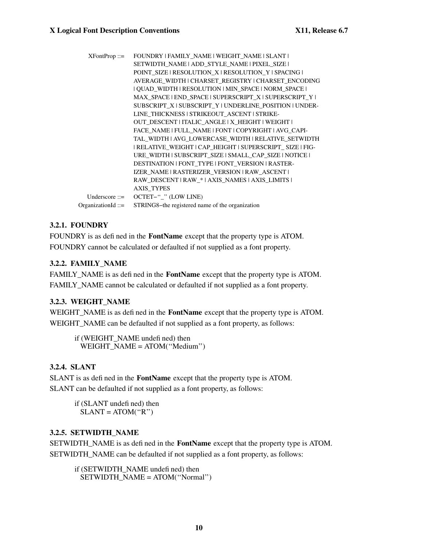| $XFontProp ::=$      | FOUNDRY   FAMILY_NAME   WEIGHT_NAME   SLANT             |
|----------------------|---------------------------------------------------------|
|                      | SETWIDTH NAME   ADD STYLE NAME   PIXEL SIZE             |
|                      | POINT SIZE   RESOLUTION X   RESOLUTION Y   SPACING      |
|                      | AVERAGE WIDTH CHARSET REGISTRY   CHARSET ENCODING       |
|                      | OUAD WIDTH   RESOLUTION   MIN SPACE   NORM SPACE        |
|                      | MAX SPACE END SPACE SUPERSCRIPT X SUPERSCRIPT Y         |
|                      | SUBSCRIPT X   SUBSCRIPT Y   UNDERLINE POSITION   UNDER- |
|                      | LINE THICKNESS   STRIKEOUT ASCENT   STRIKE-             |
|                      | OUT DESCENT   ITALIC ANGLE   X HEIGHT   WEIGHT          |
|                      | FACE NAME   FULL NAME   FONT   COPYRIGHT   AVG CAPI-    |
|                      | TAL WIDTH AVG LOWERCASE WIDTH RELATIVE SETWIDTH         |
|                      | RELATIVE WEIGHT   CAP HEIGHT   SUPERSCRIPT SIZE   FIG-  |
|                      | URE WIDTH   SUBSCRIPT SIZE   SMALL CAP SIZE   NOTICE    |
|                      | DESTINATION   FONT TYPE   FONT VERSION   RASTER-        |
|                      | IZER NAME   RASTERIZER VERSION   RAW ASCENT             |
|                      | RAW DESCENT   RAW *   AXIS NAMES   AXIS LIMITS          |
|                      | <b>AXIS TYPES</b>                                       |
| Underscore $::=$     | OCTET-" " (LOW LINE)                                    |
| $OrganizationId ::=$ | STRING8-the registered name of the organization         |
|                      |                                                         |

### **3.2.1. FOUNDRY**

FOUNDRY is as defined in the **FontName** except that the property type is ATOM. FOUNDRY cannot be calculated or defaulted if not supplied as a font property.

#### **3.2.2. FAMILY\_NAME**

FAMILY\_NAME is as defined in the **FontName** except that the property type is ATOM. FAMILY\_NAME cannot be calculated or defaulted if not supplied as a font property.

### **3.2.3. WEIGHT\_NAME**

WEIGHT\_NAME is as defined in the **FontName** except that the property type is ATOM. WEIGHT\_NAME can be defaulted if not supplied as a font property, as follows:

if (WEIGHT\_NAME undefined) then WEIGHT\_NAME = ATOM(''Medium'')

### **3.2.4. SLANT**

SLANT is as defined in the **FontName** except that the property type is ATOM. SLANT can be defaulted if not supplied as a font property, as follows:

if (SLANT undefined) then  $SLANT = ATOM("R")$ 

#### **3.2.5. SETWIDTH\_NAME**

SETWIDTH\_NAME is as defined in the **FontName** except that the property type is ATOM. SETWIDTH\_NAME can be defaulted if not supplied as a font property, as follows:

if (SETWIDTH\_NAME undefined) then SETWIDTH\_NAME = ATOM(''Normal'')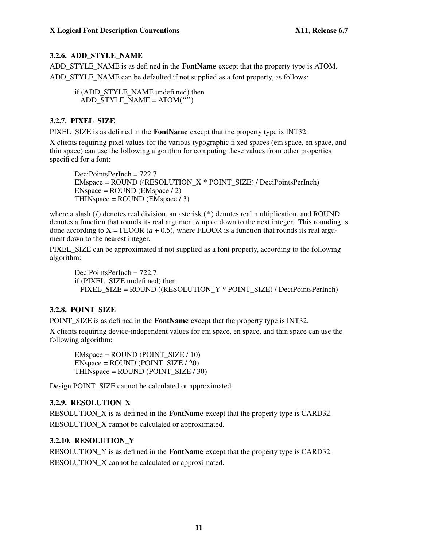### **3.2.6. ADD\_STYLE\_NAME**

ADD\_STYLE\_NAME is as defined in the **FontName** except that the property type is ATOM. ADD\_STYLE\_NAME can be defaulted if not supplied as a font property, as follows:

if (ADD\_STYLE\_NAME undefined) then ADD STYLE NAME =  $ATOM("")$ 

### **3.2.7. PIXEL\_SIZE**

PIXEL\_SIZE is as defined in the **FontName** except that the property type is INT32.

X clients requiring pixel values for the various typographic fixed spaces (em space, en space, and thin space) can use the following algorithm for computing these values from other properties specified for a font:

DeciPointsPerInch = 722.7  $EMspace = ROUND ((RESOLUTION_X * POINT_SIZE) / DeciPointsPerInch)$  $ENspace = ROUND (EMspace / 2)$  $THINspace = ROUND (EMspace / 3)$ 

where a slash (*/*) denotes real division, an asterisk (\*) denotes real multiplication, and ROUND denotes a function that rounds its real argument *a* up or down to the next integer. This rounding is done according to  $X = FLOOR$  ( $a + 0.5$ ), where FLOOR is a function that rounds its real argument down to the nearest integer.

PIXEL\_SIZE can be approximated if not supplied as a font property, according to the following algorithm:

DeciPointsPerInch = 722.7 if (PIXEL\_SIZE undefined) then PIXEL\_SIZE = ROUND ((RESOLUTION\_Y \* POINT\_SIZE) / DeciPointsPerInch)

### **3.2.8. POINT\_SIZE**

POINT SIZE is as defined in the **FontName** except that the property type is INT32.

X clients requiring device-independent values for em space, en space, and thin space can use the following algorithm:

EMspace = ROUND (POINT\_SIZE / 10) ENspace = ROUND (POINT\_SIZE / 20) THINspace = ROUND (POINT\_SIZE / 30)

Design POINT SIZE cannot be calculated or approximated.

# **3.2.9. RESOLUTION\_X**

RESOLUTION\_X is as defined in the **FontName** except that the property type is CARD32. RESOLUTION X cannot be calculated or approximated.

# **3.2.10. RESOLUTION\_Y**

RESOLUTION\_Y is as defined in the **FontName** except that the property type is CARD32. RESOLUTION\_X cannot be calculated or approximated.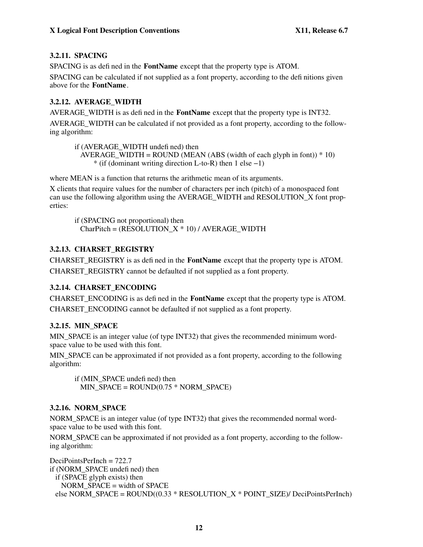# **3.2.11. SPACING**

SPACING is as defined in the **FontName** except that the property type is ATOM.

SPACING can be calculated if not supplied as a font property, according to the definitions given above for the **FontName**.

# **3.2.12. AVERAGE\_WIDTH**

AVERAGE\_WIDTH is as defined in the **FontName** except that the property type is INT32.

AVERAGE WIDTH can be calculated if not provided as a font property, according to the following algorithm:

if (AVERAGE\_WIDTH undefined) then

AVERAGE WIDTH = ROUND (MEAN (ABS (width of each glyph in font))  $*$  10) \* (if (dominant writing direction L-to-R) then 1 else −1)

where MEAN is a function that returns the arithmetic mean of its arguments.

X clients that require values for the number of characters per inch (pitch) of a monospaced font can use the following algorithm using the AVERAGE\_WIDTH and RESOLUTION\_X font properties:

if (SPACING not proportional) then  $CharPitch = (RESOLUTION X * 10) / AVERAGE WIDTH$ 

# **3.2.13. CHARSET\_REGISTRY**

CHARSET\_REGISTRY is as defined in the **FontName** except that the property type is ATOM. CHARSET\_REGISTRY cannot be defaulted if not supplied as a font property.

# **3.2.14. CHARSET\_ENCODING**

CHARSET\_ENCODING is as defined in the **FontName** except that the property type is ATOM. CHARSET\_ENCODING cannot be defaulted if not supplied as a font property.

# **3.2.15. MIN\_SPACE**

MIN SPACE is an integer value (of type INT32) that gives the recommended minimum wordspace value to be used with this font.

MIN SPACE can be approximated if not provided as a font property, according to the following algorithm:

if (MIN\_SPACE undefined) then  $MIN\_SPACE = ROUND(0.75 * NORMALSPACE)$ 

# **3.2.16. NORM\_SPACE**

NORM SPACE is an integer value (of type INT32) that gives the recommended normal wordspace value to be used with this font.

NORM\_SPACE can be approximated if not provided as a font property, according to the following algorithm:

DeciPointsPerInch =  $722.7$ if (NORM\_SPACE undefined) then if (SPACE glyph exists) then  $NORM$   $SPACE = width of SPACE$ else NORM\_SPACE = ROUND((0.33 \* RESOLUTION\_X \* POINT\_SIZE)/ DeciPointsPerInch)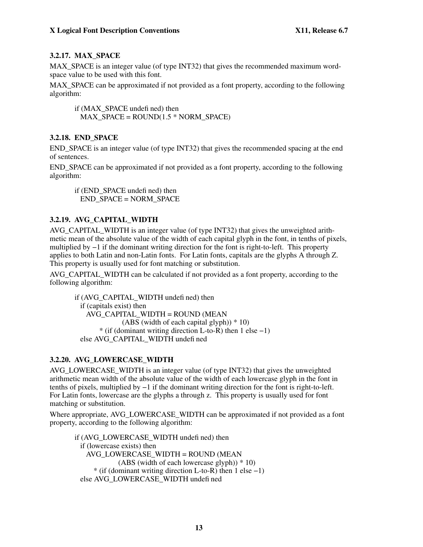# **3.2.17. MAX\_SPACE**

MAX SPACE is an integer value (of type INT32) that gives the recommended maximum wordspace value to be used with this font.

MAX\_SPACE can be approximated if not provided as a font property, according to the following algorithm:

if (MAX\_SPACE undefined) then  $MAX\_SPACE = ROUND(1.5 * NORMALSPACE)$ 

# **3.2.18. END\_SPACE**

END\_SPACE is an integer value (of type INT32) that gives the recommended spacing at the end of sentences.

END\_SPACE can be approximated if not provided as a font property, according to the following algorithm:

if (END\_SPACE undefined) then END\_SPACE=NORM\_SPACE

# **3.2.19. AVG\_CAPITAL\_WIDTH**

AV G\_CAPITAL\_WIDTH is an integer value (of type INT32) that gives the unweighted arithmetic mean of the absolute value of the width of each capital glyph in the font, in tenths of pixels, multiplied by −1 if the dominant writing direction for the font is right-to-left. This property applies to both Latin and non-Latin fonts. For Latin fonts, capitals are the glyphs A through Z. This property is usually used for font matching or substitution.

AVG CAPITAL WIDTH can be calculated if not provided as a font property, according to the following algorithm:

if (AVG\_CAPITAL\_WIDTH undefined) then if (capitals exist) then AVG CAPITAL WIDTH =  $ROUND$  (MEAN  $(ABS (width of each capital glyph)) * 10)$ \* (if (dominant writing direction L-to-R) then 1 else −1) else AVG\_CAPITAL\_WIDTH undefined

# **3.2.20. AVG\_LOWERCASE\_WIDTH**

AV G\_LOWERCASE\_WIDTH is an integer value (of type INT32) that gives the unweighted arithmetic mean width of the absolute value of the width of each lowercase glyph in the font in tenths of pixels, multiplied by −1 if the dominant writing direction for the font is right-to-left. For Latin fonts, lowercase are the glyphs a through z. This property is usually used for font matching or substitution.

Where appropriate, AVG\_LOWERCASE\_WIDTH can be approximated if not provided as a font property, according to the following algorithm:

if (AVG\_LOWERCASE\_WIDTH undefined) then if (lowercase exists) then AV G\_LOWERCASE\_WIDTH = ROUND (MEAN  $(ABS (width of each lowercase glyph)) * 10)$ \* (if (dominant writing direction L-to-R) then 1 else −1) else AVG\_LOWERCASE\_WIDTH undefined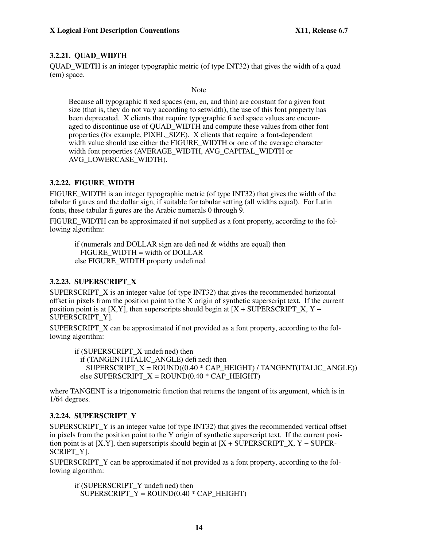### **3.2.21. QUAD\_WIDTH**

QUAD\_WIDTH is an integer typographic metric (of type INT32) that gives the width of a quad (em) space.

Note

Because all typographic fixed spaces (em, en, and thin) are constant for a given font size (that is, they do not vary according to setwidth), the use of this font property has been deprecated. X clients that require typographic fixed space values are encouraged to discontinue use of QUAD\_WIDTH and compute these values from other font properties (for example, PIXEL\_SIZE). X clients that require a font-dependent width value should use either the FIGURE\_WIDTH or one of the average character width font properties (AVERAGE\_WIDTH, AVG\_CAPITAL\_WIDTH or AVG\_LOWERCASE\_WIDTH).

### **3.2.22. FIGURE\_WIDTH**

FIGURE\_WIDTH is an integer typographic metric (of type INT32) that gives the width of the tabular figures and the dollar sign, if suitable for tabular setting (all widths equal). For Latin fonts, these tabular figures are the Arabic numerals 0 through 9.

FIGURE\_WIDTH can be approximated if not supplied as a font property, according to the following algorithm:

if (numerals and DOLLAR sign are defined & widths are equal) then FIGURE\_WIDTH = width of DOLLAR else FIGURE\_WIDTH property undefined

# **3.2.23. SUPERSCRIPT\_X**

SUPERSCRIPT\_X is an integer value (of type INT32) that gives the recommended horizontal offset in pixels from the position point to the X origin of synthetic superscript text. If the current position point is at [X,Y], then superscripts should begin at  $[X +$  SUPERSCRIPT X, Y – SUPERSCRIPT\_Y].

SUPERSCRIPT\_X can be approximated if not provided as a font property, according to the following algorithm:

if (SUPERSCRIPT\_X undefined) then if (TANGENT(ITALIC\_ANGLE) defined) then SUPERSCRIPT  $X = \text{ROUND}((0.40 * \text{CAP} \text{ HEIGHT}) / \text{TANGENT}(\text{ITALIC} \text{ ANGLE}))$ else SUPERSCRIPT\_ $X = \text{ROUND}(0.40 \times \text{CAP\_HEIGHT})$ 

where TANGENT is a trigonometric function that returns the tangent of its argument, which is in 1/64 degrees.

### **3.2.24. SUPERSCRIPT\_Y**

SUPERSCRIPT\_Y is an integer value (of type INT32) that gives the recommended vertical offset in pixels from the position point to the Y origin of synthetic superscript text. If the current position point is at [X,Y], then superscripts should begin at  $[X + \text{SUPERSCRIPT\_X}, Y - \text{SUPER-1}]$ SCRIPT\_Y].

SUPERSCRIPT\_Y can be approximated if not provided as a font property, according to the following algorithm:

if (SUPERSCRIPT\_Y undefined) then  $SUPERSCRIPT_Y = ROUND(0.40 * CAP_HEIGHT)$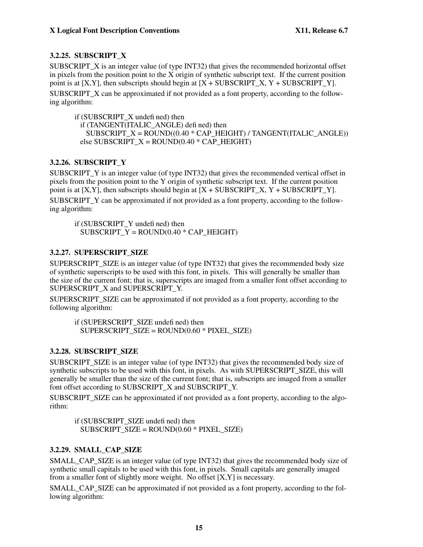# **3.2.25. SUBSCRIPT\_X**

SUBSCRIPT\_X is an integer value (of type INT32) that gives the recommended horizontal offset in pixels from the position point to the X origin of synthetic subscript text. If the current position point is at  $[X, Y]$ , then subscripts should begin at  $[X + SUBSCRIPT_X, Y + SUBSCRIPT_Y]$ .

SUBSCRIPT\_X can be approximated if not provided as a font property, according to the following algorithm:

if (SUBSCRIPT\_X undefined) then if (TANGENT(ITALIC\_ANGLE) defined) then  $SUBSCRIPT_X = ROUND((0.40 * CAP_HEIGHT) / TANGENT(ITALIC_ANGLE))$ else SUBSCRIPT  $X = \text{ROUND}(0.40 * \text{CAP} \text{ HEIGHT})$ 

### **3.2.26. SUBSCRIPT\_Y**

SUBSCRIPT Y is an integer value (of type INT32) that gives the recommended vertical offset in pixels from the position point to the Y origin of synthetic subscript text. If the current position point is at  $[X, Y]$ , then subscripts should begin at  $[X + SUBSCRIPTX, Y + SUBSCRIPTY]$ .

SUBSCRIPT\_Y can be approximated if not provided as a font property, according to the following algorithm:

if (SUBSCRIPT\_Y undefined) then SUBSCRIPT  $Y = \text{ROUND}(0.40 * \text{CAP} \text{ HEIGHT})$ 

### **3.2.27. SUPERSCRIPT\_SIZE**

SUPERSCRIPT\_SIZE is an integer value (of type INT32) that gives the recommended body size of synthetic superscripts to be used with this font, in pixels. This will generally be smaller than the size of the current font; that is, superscripts are imaged from a smaller font offset according to SUPERSCRIPT\_X and SUPERSCRIPT\_Y.

SUPERSCRIPT\_SIZE can be approximated if not provided as a font property, according to the following algorithm:

if (SUPERSCRIPT\_SIZE undefined) then SUPERSCRIPT\_SIZE = ROUND(0.60 \* PIXEL\_SIZE)

### **3.2.28. SUBSCRIPT\_SIZE**

SUBSCRIPT\_SIZE is an integer value (of type INT32) that gives the recommended body size of synthetic subscripts to be used with this font, in pixels. As with SUPERSCRIPT SIZE, this will generally be smaller than the size of the current font; that is, subscripts are imaged from a smaller font offset according to SUBSCRIPT\_X and SUBSCRIPT\_Y.

SUBSCRIPT SIZE can be approximated if not provided as a font property, according to the algorithm:

if (SUBSCRIPT\_SIZE undefined) then SUBSCRIPT\_SIZE = ROUND(0.60 \* PIXEL\_SIZE)

### **3.2.29. SMALL\_CAP\_SIZE**

SMALL\_CAP\_SIZE is an integer value (of type INT32) that gives the recommended body size of synthetic small capitals to be used with this font, in pixels. Small capitals are generally imaged from a smaller font of slightly more weight. No offset [X,Y] is necessary.

SMALL CAP SIZE can be approximated if not provided as a font property, according to the following algorithm: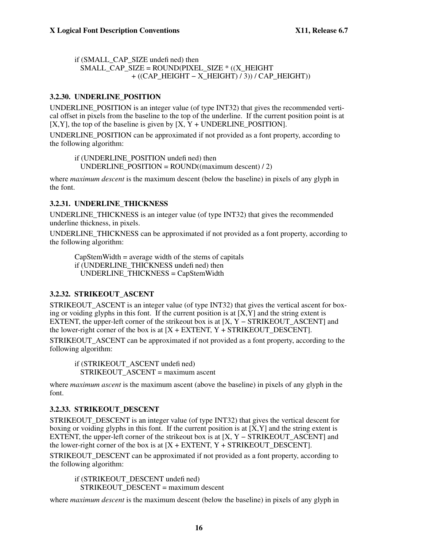if (SMALL\_CAP\_SIZE undefined) then SMALL\_CAP\_SIZE = ROUND(PIXEL\_SIZE \* ((X\_HEIGHT + ((CAP\_HEIGHT − X\_HEIGHT) / 3)) / CAP\_HEIGHT))

### **3.2.30. UNDERLINE\_POSITION**

UNDERLINE\_POSITION is an integer value (of type INT32) that gives the recommended vertical offset in pixels from the baseline to the top of the underline. If the current position point is at  $[X, Y]$ , the top of the baseline is given by  $[X, Y + UNDERLINE_POSTITION]$ .

UNDERLINE\_POSITION can be approximated if not provided as a font property, according to the following algorithm:

if (UNDERLINE\_POSITION undefined) then UNDERLINE POSITION =  $ROUND((maximum descent) / 2)$ 

where *maximum descent* is the maximum descent (below the baseline) in pixels of any glyph in the font.

### **3.2.31. UNDERLINE\_THICKNESS**

UNDERLINE\_THICKNESS is an integer value (of type INT32) that gives the recommended underline thickness, in pixels.

UNDERLINE\_THICKNESS can be approximated if not provided as a font property, according to the following algorithm:

CapStemWidth = average width of the stems of capitals if (UNDERLINE\_THICKNESS undefined) then UNDERLINE\_THICKNESS = CapStemWidth

# **3.2.32. STRIKEOUT\_ASCENT**

STRIKEOUT\_ASCENT is an integer value (of type INT32) that gives the vertical ascent for boxing or voiding glyphs in this font. If the current position is at  $[X, Y]$  and the string extent is EXTENT, the upper-left corner of the strikeout box is at [X, Y − STRIKEOUT\_ASCENT] and the lower-right corner of the box is at  $[X + \text{EXTENT}, Y + \text{STRIKEOUT}\_\text{DESCENT}].$ 

STRIKEOUT\_ASCENT can be approximated if not provided as a font property, according to the following algorithm:

if (STRIKEOUT\_ASCENT undefined) STRIKEOUT\_ASCENT = maximum ascent

where *maximum ascent* is the maximum ascent (above the baseline) in pixels of any glyph in the font.

### **3.2.33. STRIKEOUT\_DESCENT**

STRIKEOUT\_DESCENT is an integer value (of type INT32) that gives the vertical descent for boxing or voiding glyphs in this font. If the current position is at  $[X, Y]$  and the string extent is EXTENT, the upper-left corner of the strikeout box is at  $[X, Y - STRIKEOUT_ASCENT]$  and the lower-right corner of the box is at  $[X + \text{EXTENT}, Y + \text{STRIKEOUT}\$  DESCENT].

STRIKEOUT\_DESCENT can be approximated if not provided as a font property, according to the following algorithm:

if (STRIKEOUT\_DESCENT undefined) STRIKEOUT\_DESCENT = maximum descent

where *maximum descent* is the maximum descent (below the baseline) in pixels of any glyph in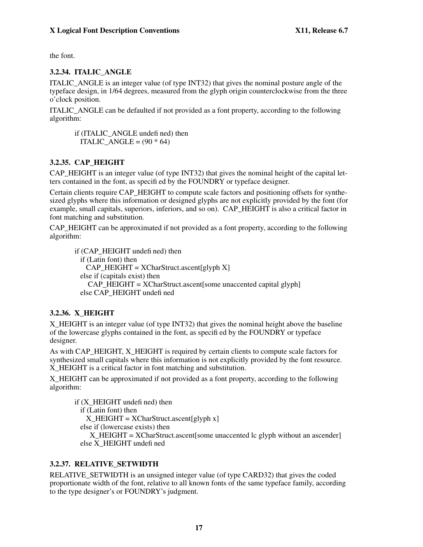the font.

# **3.2.34. ITALIC\_ANGLE**

ITALIC\_ANGLE is an integer value (of type INT32) that gives the nominal posture angle of the typeface design, in 1/64 degrees, measured from the glyph origin counterclockwise from the three o'clock position.

ITALIC\_ANGLE can be defaulted if not provided as a font property, according to the following algorithm:

if (ITALIC\_ANGLE undefined) then ITALIC ANGLE =  $(90 * 64)$ 

# **3.2.35. CAP\_HEIGHT**

CAP HEIGHT is an integer value (of type INT32) that gives the nominal height of the capital letters contained in the font, as specified by the FOUNDRY or typeface designer.

Certain clients require CAP\_HEIGHT to compute scale factors and positioning offsets for synthesized glyphs where this information or designed glyphs are not explicitly provided by the font (for example, small capitals, superiors, inferiors, and so on). CAP\_HEIGHT is also a critical factor in font matching and substitution.

CAP\_HEIGHT can be approximated if not provided as a font property, according to the following algorithm:

if (CAP\_HEIGHT undefined) then if (Latin font) then  $CAP$ \_HEIGHT = XCharStruct.ascent[glyph X] else if (capitals exist) then CAP\_HEIGHT = XCharStruct.ascent[some unaccented capital glyph] else CAP\_HEIGHT undefined

# **3.2.36. X\_HEIGHT**

X HEIGHT is an integer value (of type INT32) that gives the nominal height above the baseline of the lowercase glyphs contained in the font, as specified by the FOUNDRY or typeface designer.

As with CAP\_HEIGHT, X\_HEIGHT is required by certain clients to compute scale factors for synthesized small capitals where this information is not explicitly provided by the font resource. X HEIGHT is a critical factor in font matching and substitution.

X\_HEIGHT can be approximated if not provided as a font property, according to the following algorithm:

if  $(X$  HEIGHT undefined) then if (Latin font) then  $X$  HEIGHT = XCharStruct.ascent[glyph x] else if (lowercase exists) then  $X$  HEIGHT = XCharStruct.ascent [some unaccented lc glyph without an ascender] else X\_HEIGHT undefined

### **3.2.37. RELATIVE\_SETWIDTH**

RELATIVE\_SETWIDTH is an unsigned integer value (of type CARD32) that gives the coded proportionate width of the font, relative to all known fonts of the same typeface family, according to the type designer's or FOUNDRY's judgment.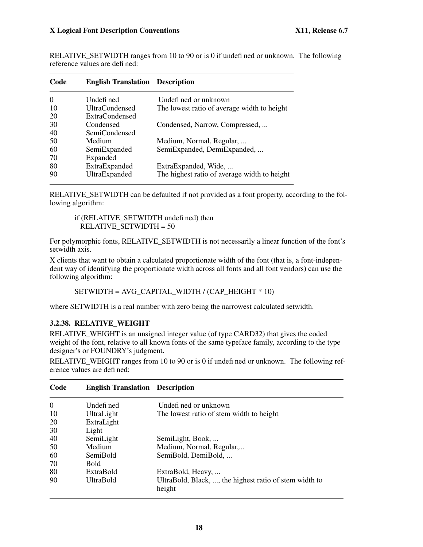RELATIVE\_SETWIDTH ranges from 10 to 90 or is 0 if undefined or unknown. The following reference values are defined:

| Code     | <b>English Translation Description</b> |                                              |
|----------|----------------------------------------|----------------------------------------------|
| $\Omega$ | Undefi ned                             | Undefi ned or unknown                        |
| -10      | <b>UltraCondensed</b>                  | The lowest ratio of average width to height  |
| 20       | ExtraCondensed                         |                                              |
| 30       | Condensed                              | Condensed, Narrow, Compressed,               |
| 40       | SemiCondensed                          |                                              |
| 50       | Medium                                 | Medium, Normal, Regular,                     |
| 60       | SemiExpanded                           | SemiExpanded, DemiExpanded,                  |
| 70       | Expanded                               |                                              |
| 80       | ExtraExpanded                          | ExtraExpanded, Wide,                         |
| 90       | UltraExpanded                          | The highest ratio of average width to height |

RELATIVE\_SETWIDTH can be defaulted if not provided as a font property, according to the following algorithm:

if (RELATIVE\_SETWIDTH undefined) then RELATIVE\_SETWIDTH = 50

For polymorphic fonts, RELATIVE\_SETWIDTH is not necessarily a linear function of the font's setwidth axis.

X clients that want to obtain a calculated proportionate width of the font (that is, a font-independent way of identifying the proportionate width across all fonts and all font vendors) can use the following algorithm:

```
SETWIDTH = AVG_CAPITAL_WIDTH / (CAP_HEIGHT * 10)
```
where SETWIDTH is a real number with zero being the narrowest calculated setwidth.

### **3.2.38. RELATIVE\_WEIGHT**

RELATIVE\_WEIGHT is an unsigned integer value (of type CARD32) that gives the coded weight of the font, relative to all known fonts of the same typeface family, according to the type designer's or FOUNDRY's judgment.

RELATIVE\_WEIGHT ranges from 10 to 90 or is 0 if undefined or unknown. The following reference values are defined:

| Code     | <b>English Translation Description</b> |                                                                  |
|----------|----------------------------------------|------------------------------------------------------------------|
| $\theta$ | Undefi ned                             | Undefi ned or unknown                                            |
| -10      | UltraLight                             | The lowest ratio of stem width to height                         |
| 20       | ExtraLight                             |                                                                  |
| 30       | Light                                  |                                                                  |
| 40       | SemiLight                              | SemiLight, Book,                                                 |
| 50       | Medium                                 | Medium, Normal, Regular,                                         |
| 60       | SemiBold                               | SemiBold, DemiBold,                                              |
| 70       | <b>Bold</b>                            |                                                                  |
| 80       | ExtraBold                              | ExtraBold, Heavy,                                                |
| 90       | UltraBold                              | UltraBold, Black, , the highest ratio of stem width to<br>height |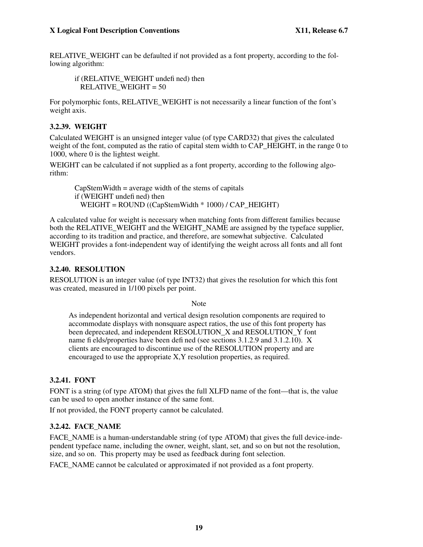RELATIVE WEIGHT can be defaulted if not provided as a font property, according to the following algorithm:

if (RELATIVE\_WEIGHT undefined) then RELATIVE WEIGHT =  $50$ 

For polymorphic fonts, RELATIVE\_WEIGHT is not necessarily a linear function of the font's weight axis.

#### **3.2.39. WEIGHT**

Calculated WEIGHT is an unsigned integer value (of type CARD32) that gives the calculated weight of the font, computed as the ratio of capital stem width to CAP\_HEIGHT, in the range 0 to 1000, where 0 is the lightest weight.

WEIGHT can be calculated if not supplied as a font property, according to the following algorithm:

 $CapStemWidth = average width of the stems of capitals$ if (WEIGHT undefined) then WEIGHT = ROUND ((CapStemWidth \* 1000) / CAP\_HEIGHT)

A calculated value for weight is necessary when matching fonts from different families because both the RELATIVE\_WEIGHT and the WEIGHT\_NAME are assigned by the typeface supplier, according to its tradition and practice, and therefore, are somewhat subjective. Calculated WEIGHT provides a font-independent way of identifying the weight across all fonts and all font vendors.

#### **3.2.40. RESOLUTION**

RESOLUTION is an integer value (of type INT32) that gives the resolution for which this font was created, measured in 1/100 pixels per point.

Note

As independent horizontal and vertical design resolution components are required to accommodate displays with nonsquare aspect ratios, the use of this font property has been deprecated, and independent RESOLUTION\_X and RESOLUTION\_Y font name fields/properties have been defined (see sections 3.1.2.9 and 3.1.2.10). X clients are encouraged to discontinue use of the RESOLUTION property and are encouraged to use the appropriate X,Y resolution properties, as required.

### **3.2.41. FONT**

FONT is a string (of type ATOM) that gives the full XLFD name of the font—that is, the value can be used to open another instance of the same font.

If not provided, the FONT property cannot be calculated.

#### **3.2.42. FACE\_NAME**

FACE\_NAME is a human-understandable string (of type ATOM) that gives the full device-independent typeface name, including the owner, weight, slant, set, and so on but not the resolution, size, and so on. This property may be used as feedback during font selection.

FACE\_NAME cannot be calculated or approximated if not provided as a font property.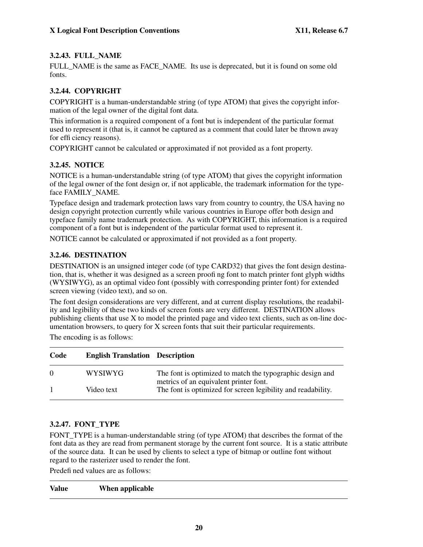# **3.2.43. FULL\_NAME**

FULL\_NAME is the same as FACE\_NAME. Its use is deprecated, but it is found on some old fonts.

# **3.2.44. COPYRIGHT**

COPYRIGHT is a human-understandable string (of type ATOM) that gives the copyright information of the legal owner of the digital font data.

This information is a required component of a font but is independent of the particular format used to represent it (that is, it cannot be captured as a comment that could later be thrown away for efficiency reasons).

COPYRIGHT cannot be calculated or approximated if not provided as a font property.

# **3.2.45. NOTICE**

NOTICE is a human-understandable string (of type ATOM) that gives the copyright information of the legal owner of the font design or, if not applicable, the trademark information for the typeface FAMILY\_NAME.

Typeface design and trademark protection laws vary from country to country, the USA having no design copyright protection currently while various countries in Europe offer both design and typeface family name trademark protection. As with COPYRIGHT, this information is a required component of a font but is independent of the particular format used to represent it.

NOTICE cannot be calculated or approximated if not provided as a font property.

### **3.2.46. DESTINATION**

DESTINATION is an unsigned integer code (of type CARD32) that gives the font design destination, that is, whether it was designed as a screen proofing font to match printer font glyph widths (WYSIWYG), as an optimal video font (possibly with corresponding printer font) for extended screen viewing (video text), and so on.

The font design considerations are very different, and at current display resolutions, the readability and legibility of these two kinds of screen fonts are very different. DESTINATION allows publishing clients that use X to model the printed page and video text clients, such as on-line documentation browsers, to query for X screen fonts that suit their particular requirements.

The encoding is as follows:

| Code     | <b>English Translation Description</b> |                                                                                                     |
|----------|----------------------------------------|-----------------------------------------------------------------------------------------------------|
| $\Omega$ | <b>WYSIWYG</b>                         | The font is optimized to match the typographic design and<br>metrics of an equivalent printer font. |
|          | Video text                             | The font is optimized for screen legibility and readability.                                        |

# **3.2.47. FONT\_TYPE**

FONT TYPE is a human-understandable string (of type ATOM) that describes the format of the font data as they are read from permanent storage by the current font source. It is a static attribute of the source data. It can be used by clients to select a type of bitmap or outline font without regard to the rasterizer used to render the font.

Predefined values are as follows: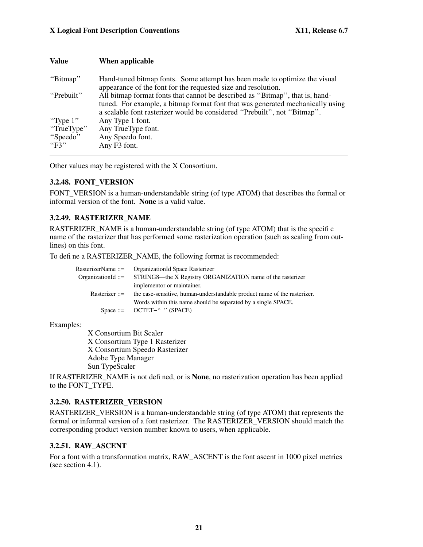| Value       | When applicable                                                                                                                                                                                                                            |
|-------------|--------------------------------------------------------------------------------------------------------------------------------------------------------------------------------------------------------------------------------------------|
| "Bitmap"    | Hand-tuned bitmap fonts. Some attempt has been made to optimize the visual<br>appearance of the font for the requested size and resolution.                                                                                                |
| "Prebuilt"  | All bitmap format fonts that cannot be described as "Bitmap", that is, hand-<br>tuned. For example, a bitmap format font that was generated mechanically using<br>a scalable font rasterizer would be considered "Prebuilt", not "Bitmap". |
| "Type $1$ " | Any Type 1 font.                                                                                                                                                                                                                           |
| "TrueType"  | Any TrueType font.                                                                                                                                                                                                                         |
| "Speedo"    | Any Speedo font.                                                                                                                                                                                                                           |
| ``F3"       | Any F3 font.                                                                                                                                                                                                                               |

Other values may be registered with the X Consortium.

### **3.2.48. FONT\_VERSION**

FONT\_VERSION is a human-understandable string (of type ATOM) that describes the formal or informal version of the font. **None** is a valid value.

#### **3.2.49. RASTERIZER\_NAME**

RASTERIZER NAME is a human-understandable string (of type ATOM) that is the specific name of the rasterizer that has performed some rasterization operation (such as scaling from outlines) on this font.

To define a RASTERIZER\_NAME, the following format is recommended:

| RasterizerName ::= OrganizationId Space Rasterizer                                      |
|-----------------------------------------------------------------------------------------|
| OrganizationId ::= STRING8—the X Registry ORGANIZATION name of the rasterizer           |
| implementor or maintainer.                                                              |
| Rasterizer ::= the case-sensitive, human-understandable product name of the rasterizer. |
| Words within this name should be separated by a single SPACE.                           |
| Space ::= $OCTET-$ " (SPACE)                                                            |

#### Examples:

X Consortium Bit Scaler X Consortium Type 1 Rasterizer X Consortium Speedo Rasterizer Adobe Type Manager Sun TypeScaler

If RASTERIZER\_NAME is not defined, or is **None**, no rasterization operation has been applied to the FONT\_TYPE.

#### **3.2.50. RASTERIZER\_VERSION**

RASTERIZER\_VERSION is a human-understandable string (of type ATOM) that represents the formal or informal version of a font rasterizer. The RASTERIZER\_VERSION should match the corresponding product version number known to users, when applicable.

#### **3.2.51. RAW\_ASCENT**

For a font with a transformation matrix, RAW\_ASCENT is the font ascent in 1000 pixel metrics (see section 4.1).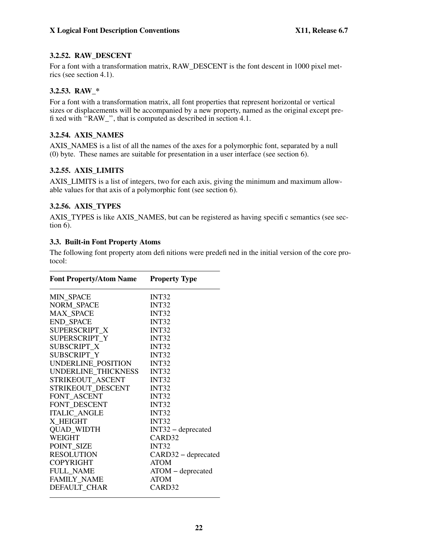### **3.2.52. RAW\_DESCENT**

For a font with a transformation matrix, RAW\_DESCENT is the font descent in 1000 pixel metrics (see section 4.1).

### **3.2.53. RAW\_\***

For a font with a transformation matrix, all font properties that represent horizontal or vertical sizes or displacements will be accompanied by a new property, named as the original except prefixed with ''RAW\_'', that is computed as described in section 4.1.

### **3.2.54. AXIS\_NAMES**

AXIS NAMES is a list of all the names of the axes for a polymorphic font, separated by a null (0) byte. These names are suitable for presentation in a user interface (see section 6).

### **3.2.55. AXIS\_LIMITS**

AXIS\_LIMITS is a list of integers, two for each axis, giving the minimum and maximum allowable values for that axis of a polymorphic font (see section 6).

### **3.2.56. AXIS\_TYPES**

AXIS TYPES is like AXIS NAMES, but can be registered as having specific semantics (see section  $6$ ).

#### **3.3. Built-in Font Property Atoms**

The following font property atom definitions were predefined in the initial version of the core protocol:

| <b>Font Property/Atom Name</b> | <b>Property Type</b> |
|--------------------------------|----------------------|
| <b>MIN_SPACE</b>               | INT32                |
| <b>NORM SPACE</b>              | INT32                |
| <b>MAX SPACE</b>               | INT32                |
| <b>END_SPACE</b>               | INT32                |
| SUPERSCRIPT X                  | INT32                |
| SUPERSCRIPT Y                  | INT32                |
| SUBSCRIPT X                    | INT32                |
| <b>SUBSCRIPT Y</b>             | INT32                |
| UNDERLINE POSITION             | INT32                |
| UNDERLINE THICKNESS            | INT32                |
| STRIKEOUT ASCENT               | INT32                |
| STRIKEOUT_DESCENT              | INT32                |
| FONT ASCENT                    | INT32                |
| FONT DESCENT                   | INT32                |
| <b>ITALIC_ANGLE</b>            | INT32                |
| X HEIGHT                       | INT32                |
| <b>QUAD_WIDTH</b>              | $INT32 - deprecated$ |
| <b>WEIGHT</b>                  | CARD <sub>32</sub>   |
| POINT SIZE                     | INT32                |
| <b>RESOLUTION</b>              | CARD32 – deprecated  |
| <b>COPYRIGHT</b>               | <b>ATOM</b>          |
| <b>FULL NAME</b>               | $ATOM - deprecated$  |
| <b>FAMILY NAME</b>             | <b>ATOM</b>          |
| DEFAULT CHAR                   | CARD <sub>32</sub>   |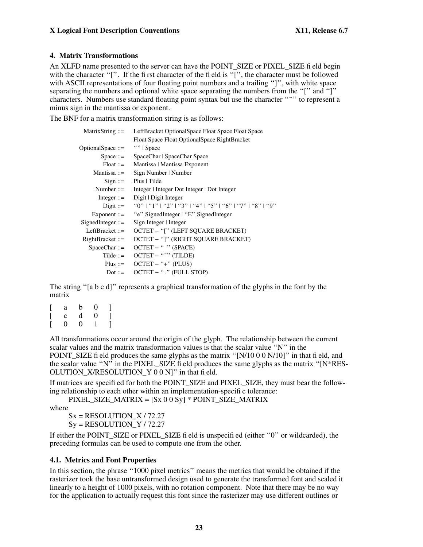#### **4. Matrix Transformations**

An XLFD name presented to the server can have the POINT\_SIZE or PIXEL\_SIZE field begin with the character "[". If the first character of the field is "[", the character must be followed with ASCII representations of four floating point numbers and a trailing "]", with white space separating the numbers and optional white space separating the numbers from the "[" and "]" characters. Numbers use standard floating point syntax but use the character """ to represent a minus sign in the mantissa or exponent.

The BNF for a matrix transformation string is as follows:

| $MatrixString ::=$             | LeftBracket OptionalSpace Float Space Float Space         |
|--------------------------------|-----------------------------------------------------------|
|                                | Float Space Float OptionalSpace RightBracket              |
| $OptionalSpace ::=$            | ""   Space                                                |
| $Space ::=$                    | SpaceChar   SpaceChar Space                               |
| $Float ::=$                    | Mantissa   Mantissa Exponent                              |
| Mantissa $\mathrel{\mathop:}=$ | Sign Number   Number                                      |
| $Sign ::=$                     | Plus   Tilde                                              |
| Number $ ::=$                  | Integer   Integer Dot Integer   Dot Integer               |
| Integer $ ::=$                 | Digit   Digit Integer                                     |
| Digit $::=$                    | "0"   "1"   "2"   "3"   "4"   "5"   "6"   "7"   "8"   "9" |
| $Exponent ::=$                 | "e" SignedInteger   "E" SignedInteger                     |
| $SignedInteger ::=$            | Sign Integer   Integer                                    |
| $LeftBracket ::=$              | OCTET – "[" (LEFT SQUARE BRACKET)                         |
| $RightBracket ::=$             | OCTET - "]" (RIGHT SQUARE BRACKET)                        |
| $SpaceChar ::=$                | OCTET - " " (SPACE)                                       |
| $Tilde :=$                     | OCTET - """ (TILDE)                                       |
| $Plus ::=$                     | $OCTET - "+'$ (PLUS)                                      |
| $Dot ::=$                      | OCTET - "." (FULL STOP)                                   |

The string ''[a b c d]'' represents a graphical transformation of the glyphs in the font by the matrix

|             | a            | b | 0 |             |
|-------------|--------------|---|---|-------------|
| ]<br>]<br>[ | $\mathbf{C}$ | d | 0 | ]<br>]<br>] |
|             | 0            | 0 |   |             |

All transformations occur around the origin of the glyph. The relationship between the current scalar values and the matrix transformation values is that the scalar value ''N'' in the POINT SIZE field produces the same glyphs as the matrix " $[N/10 0 0 N/10]$ " in that field, and the scalar value ''N'' in the PIXEL\_SIZE field produces the same glyphs as the matrix ''[N\*RES-OLUTION\_X/RESOLUTION\_Y 0 0 N]'' in that field.

If matrices are specified for both the POINT\_SIZE and PIXEL\_SIZE, they must bear the following relationship to each other within an implementation-specific tolerance:

PIXEL\_SIZE\_MATRIX =  $[Sx 0 0 Sy] * POINT$  SIZE\_MATRIX

where

 $Sx =$ RESOLUTION  $X / 72.27$  $Sy = RESOLUTION_Y / 72.27$ 

If either the POINT SIZE or PIXEL SIZE field is unspecified (either "0" or wildcarded), the preceding formulas can be used to compute one from the other.

### **4.1. Metrics and Font Properties**

In this section, the phrase ''1000 pixel metrics'' means the metrics that would be obtained if the rasterizer took the base untransformed design used to generate the transformed font and scaled it linearly to a height of 1000 pixels, with no rotation component. Note that there may be no way for the application to actually request this font since the rasterizer may use different outlines or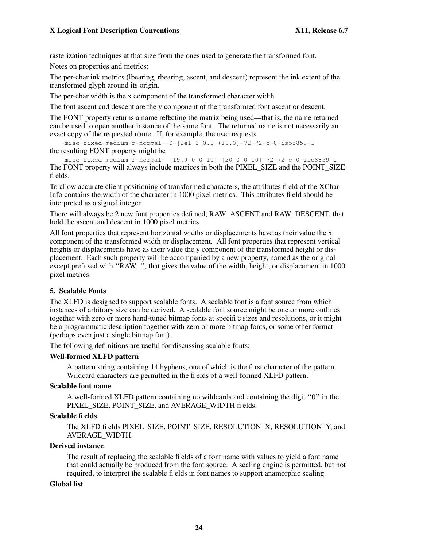rasterization techniques at that size from the ones used to generate the transformed font.

Notes on properties and metrics:

The per-char ink metrics (lbearing, rbearing, ascent, and descent) represent the ink extent of the transformed glyph around its origin.

The per-char width is the x component of the transformed character width.

The font ascent and descent are the y component of the transformed font ascent or descent.

The FONT property returns a name reflecting the matrix being used—that is, the name returned can be used to open another instance of the same font. The returned name is not necessarily an exact copy of the requested name. If, for example, the user requests

−misc−fixed−medium−r−normal−−0−[2e1 0 0.0 +10.0]−72−72−c−0−iso8859−1 the resulting FONT property might be

−misc−fixed−medium−r−normal−−[19.9 0 0 10]−[20 0 0 10]−72−72−c−0−iso8859−1 The FONT property will always include matrices in both the PIXEL\_SIZE and the POINT\_SIZE fields.

To allow accurate client positioning of transformed characters, the attributes field of the XChar-Info contains the width of the character in 1000 pixel metrics. This attributes field should be interpreted as a signed integer.

There will always be 2 new font properties defined, RAW\_ASCENT and RAW\_DESCENT, that hold the ascent and descent in 1000 pixel metrics.

All font properties that represent horizontal widths or displacements have as their value the x component of the transformed width or displacement. All font properties that represent vertical heights or displacements have as their value the y component of the transformed height or displacement. Each such property will be accompanied by a new property, named as the original except prefixed with "RAW\_", that gives the value of the width, height, or displacement in 1000 pixel metrics.

#### **5. Scalable Fonts**

The XLFD is designed to support scalable fonts. A scalable font is a font source from which instances of arbitrary size can be derived. A scalable font source might be one or more outlines together with zero or more hand-tuned bitmap fonts at specific sizes and resolutions, or it might be a programmatic description together with zero or more bitmap fonts, or some other format (perhaps even just a single bitmap font).

The following definitions are useful for discussing scalable fonts:

#### **Well-formed XLFD pattern**

A pattern string containing 14 hyphens, one of which is the first character of the pattern. Wildcard characters are permitted in the fields of a well-formed XLFD pattern.

#### **Scalable font name**

A well-formed XLFD pattern containing no wildcards and containing the digit ''0'' in the PIXEL\_SIZE, POINT\_SIZE, and AVERAGE\_WIDTH fi elds.

#### **Scalable fields**

The XLFD fields PIXEL\_SIZE, POINT\_SIZE, RESOLUTION\_X, RESOLUTION\_Y, and AVERAGE\_WIDTH.

#### **Derived instance**

The result of replacing the scalable fields of a font name with values to yield a font name that could actually be produced from the font source. A scaling engine is permitted, but not required, to interpret the scalable fields in font names to support anamorphic scaling.

#### **Global list**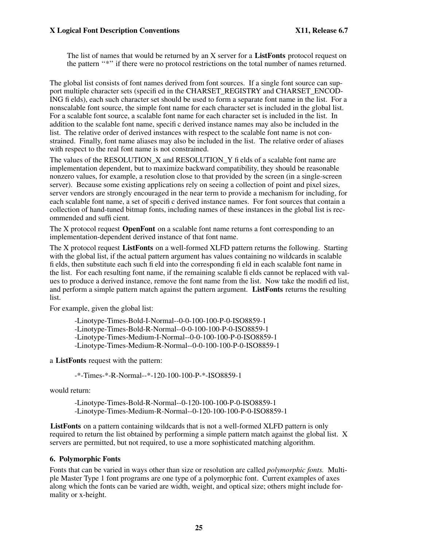The list of names that would be returned by an X server for a **ListFonts** protocol request on the pattern ''\*'' if there were no protocol restrictions on the total number of names returned.

The global list consists of font names derived from font sources. If a single font source can support multiple character sets (specified in the CHARSET\_REGISTRY and CHARSET\_ENCOD-ING fields), each such character set should be used to form a separate font name in the list. For a nonscalable font source, the simple font name for each character set is included in the global list. For a scalable font source, a scalable font name for each character set is included in the list. In addition to the scalable font name, specific derived instance names may also be included in the list. The relative order of derived instances with respect to the scalable font name is not constrained. Finally, font name aliases may also be included in the list. The relative order of aliases with respect to the real font name is not constrained.

The values of the RESOLUTION\_X and RESOLUTION\_Y fields of a scalable font name are implementation dependent, but to maximize backward compatibility, they should be reasonable nonzero values, for example, a resolution close to that provided by the screen (in a single-screen server). Because some existing applications rely on seeing a collection of point and pixel sizes, server vendors are strongly encouraged in the near term to provide a mechanism for including, for each scalable font name, a set of specific derived instance names. For font sources that contain a collection of hand-tuned bitmap fonts, including names of these instances in the global list is recommended and sufficient.

The X protocol request **OpenFont** on a scalable font name returns a font corresponding to an implementation-dependent derived instance of that font name.

The X protocol request **ListFonts** on a well-formed XLFD pattern returns the following. Starting with the global list, if the actual pattern argument has values containing no wildcards in scalable fields, then substitute each such field into the corresponding field in each scalable font name in the list. For each resulting font name, if the remaining scalable fields cannot be replaced with values to produce a derived instance, remove the font name from the list. Now take the modified list, and perform a simple pattern match against the pattern argument. **ListFonts** returns the resulting list.

For example, given the global list:

-Linotype-Times-Bold-I-Normal--0-0-100-100-P-0-ISO8859-1 -Linotype-Times-Bold-R-Normal--0-0-100-100-P-0-ISO8859-1 -Linotype-Times-Medium-I-Normal--0-0-100-100-P-0-ISO8859-1 -Linotype-Times-Medium-R-Normal--0-0-100-100-P-0-ISO8859-1

a **ListFonts** request with the pattern:

-\*-Times-\*-R-Normal--\*-120-100-100-P-\*-ISO8859-1

would return:

-Linotype-Times-Bold-R-Normal--0-120-100-100-P-0-ISO8859-1 -Linotype-Times-Medium-R-Normal--0-120-100-100-P-0-ISO8859-1

**ListFonts** on a pattern containing wildcards that is not a well-formed XLFD pattern is only required to return the list obtained by performing a simple pattern match against the global list. X servers are permitted, but not required, to use a more sophisticated matching algorithm.

#### **6. Polymorphic Fonts**

Fonts that can be varied in ways other than size or resolution are called *polymorphic fonts.* Multiple Master Type 1 font programs are one type of a polymorphic font. Current examples of axes along which the fonts can be varied are width, weight, and optical size; others might include formality or x-height.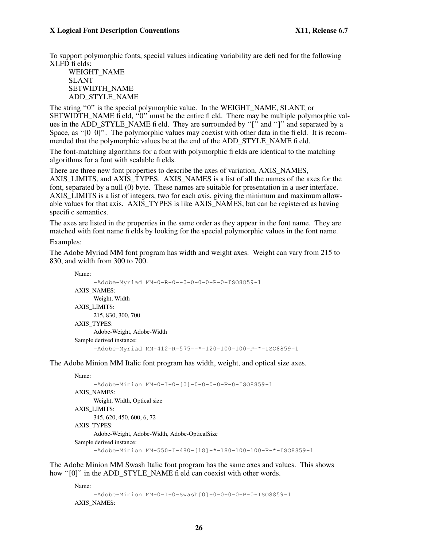To support polymorphic fonts, special values indicating variability are defined for the following XLFD fields:

WEIGHT\_NAME SLANT SETWIDTH\_NAME ADD\_STYLE\_NAME

The string "0" is the special polymorphic value. In the WEIGHT\_NAME, SLANT, or SETWIDTH\_NAME fi eld, "0" must be the entire fi eld. There may be multiple polymorphic values in the ADD\_STYLE\_NAME fi eld. They are surrounded by "[" and "]" and separated by a Space, as "[0 0]". The polymorphic values may coexist with other data in the field. It is recommended that the polymorphic values be at the end of the ADD\_STYLE\_NAME fi eld.

The font-matching algorithms for a font with polymorphic fields are identical to the matching algorithms for a font with scalable fields.

There are three new font properties to describe the axes of variation, AXIS\_NAMES, AXIS\_LIMITS, and AXIS\_TYPES. AXIS\_NAMES is a list of all the names of the axes for the font, separated by a null (0) byte. These names are suitable for presentation in a user interface. AXIS LIMITS is a list of integers, two for each axis, giving the minimum and maximum allowable values for that axis. AXIS\_TYPES is like AXIS\_NAMES, but can be registered as having specific semantics.

The axes are listed in the properties in the same order as they appear in the font name. They are matched with font name fields by looking for the special polymorphic values in the font name.

Examples:

The Adobe Myriad MM font program has width and weight axes. Weight can vary from 215 to 830, and width from 300 to 700.

```
Name:
     -Adobe-Myriad MM-0-R-0--0-0-0-0-P-0-ISO8859-1
AXIS_NAMES:
     Weight, Width
AXIS_LIMITS:
     215, 830, 300, 700
AXIS_TYPES:
     Adobe-Weight, Adobe-Width
Sample derived instance:
     -Adobe-Myriad MM-412-R-575--*-120-100-100-P-*-ISO8859-1
```
The Adobe Minion MM Italic font program has width, weight, and optical size axes.

```
Name:
     -Adobe-Minion MM-0-I-0-[0]-0-0-0-0-P-0-ISO8859-1
AXIS_NAMES:
     Weight, Width, Optical size
AXIS_LIMITS:
     345, 620, 450, 600, 6, 72
AXIS_TYPES:
     Adobe-Weight, Adobe-Width, Adobe-OpticalSize
Sample derived instance:
     -Adobe-Minion MM-550-I-480-[18]-*-180-100-100-P-*-ISO8859-1
```
The Adobe Minion MM Swash Italic font program has the same axes and values. This shows how "[0]" in the ADD\_STYLE\_NAME fi eld can coexist with other words.

Name:

```
-Adobe-Minion MM-0-I-0-Swash[0]-0-0-0-0-P-0-ISO8859-1
AXIS_NAMES:
```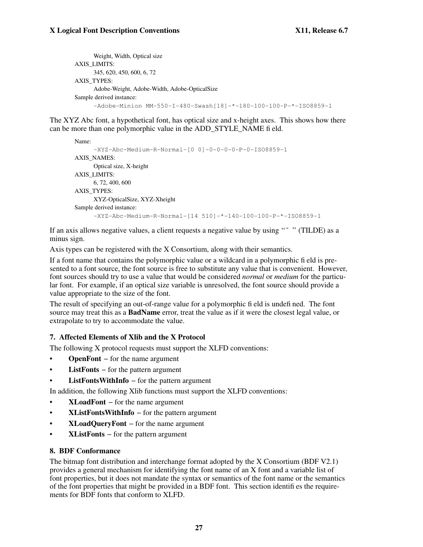Weight, Width, Optical size AXIS\_LIMITS: 345, 620, 450, 600, 6, 72 AXIS\_TYPES: Adobe-Weight, Adobe-Width, Adobe-OpticalSize Sample derived instance: -Adobe-Minion MM-550-I-480-Swash[18]-\*-180-100-100-P-\*-ISO8859-1

The XYZ Abc font, a hypothetical font, has optical size and x-height axes. This shows how there can be more than one polymorphic value in the ADD\_STYLE\_NAME field.

```
Name:
     -XYZ-Abc-Medium-R-Normal-[0 0]-0-0-0-0-P-0-ISO8859-1
AXIS_NAMES:
     Optical size, X-height
AXIS_LIMITS:
     6, 72, 400, 600
AXIS_TYPES:
     XYZ-OpticalSize, XYZ-Xheight
Sample derived instance:
     -XYZ-Abc-Medium-R-Normal-[14 510]-*-140-100-100-P-*-ISO8859-1
```
If an axis allows negative values, a client requests a negative value by using "~" " (TILDE) as a minus sign.

Axis types can be registered with the X Consortium, along with their semantics.

If a font name that contains the polymorphic value or a wildcard in a polymorphic field is presented to a font source, the font source is free to substitute any value that is convenient. However, font sources should try to use a value that would be considered *normal* or *medium* for the particular font. For example, if an optical size variable is unresolved, the font source should provide a value appropriate to the size of the font.

The result of specifying an out-of-range value for a polymorphic field is undefined. The font source may treat this as a **BadName** error, treat the value as if it were the closest legal value, or extrapolate to try to accommodate the value.

#### **7. Affected Elements of Xlib and the X Protocol**

The following X protocol requests must support the XLFD conventions:

- **OpenFont** − for the name argument
- **ListFonts** − for the pattern argument
- **ListFontsWithInfo** − for the pattern argument

In addition, the following Xlib functions must support the XLFD conventions:

- **XLoadFont** − for the name argument
- **XListFontsWithInfo** − for the pattern argument
- **XLoadQueryFont** − for the name argument
- **XListFonts** − for the pattern argument

#### **8. BDF Conformance**

The bitmap font distribution and interchange format adopted by the X Consortium (BDF V2.1) provides a general mechanism for identifying the font name of an X font and a variable list of font properties, but it does not mandate the syntax or semantics of the font name or the semantics of the font properties that might be provided in a BDF font. This section identifies the requirements for BDF fonts that conform to XLFD.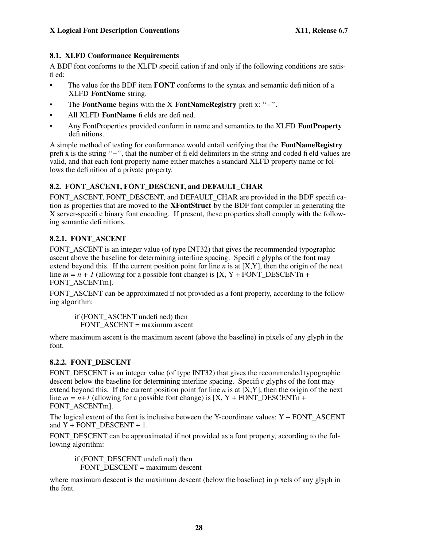### **8.1. XLFD Conformance Requirements**

A BDF font conforms to the XLFD specification if and only if the following conditions are satisfied:

- The value for the BDF item **FONT** conforms to the syntax and semantic definition of a XLFD **FontName** string.
- The **FontName** begins with the X **FontNameRegistry** prefix: ''−''.
- All XLFD **FontName** fields are defined.
- Any FontProperties provided conform in name and semantics to the XLFD **FontProperty** definitions.

A simple method of testing for conformance would entail verifying that the **FontNameRegistry** prefix is the string ''−'', that the number of field delimiters in the string and coded field values are valid, and that each font property name either matches a standard XLFD property name or follows the definition of a private property.

# 8.2. FONT\_ASCENT, FONT\_DESCENT, and DEFAULT\_CHAR

FONT\_ASCENT, FONT\_DESCENT, and DEFAULT\_CHAR are provided in the BDF specification as properties that are moved to the **XFontStruct** by the BDF font compiler in generating the X server-specific binary font encoding. If present, these properties shall comply with the following semantic definitions.

# **8.2.1. FONT\_ASCENT**

FONT ASCENT is an integer value (of type INT32) that gives the recommended typographic ascent above the baseline for determining interline spacing. Specific glyphs of the font may extend beyond this. If the current position point for line *n* is at [X,Y], then the origin of the next line  $m = n + 1$  (allowing for a possible font change) is [X, Y + FONT\_DESCENTn + FONT ASCENTml.

FONT\_ASCENT can be approximated if not provided as a font property, according to the following algorithm:

if (FONT\_ASCENT undefined) then FONT  $\angle$ ASCENT = maximum ascent

where maximum ascent is the maximum ascent (above the baseline) in pixels of any glyph in the font.

# **8.2.2. FONT\_DESCENT**

FONT DESCENT is an integer value (of type INT32) that gives the recommended typographic descent below the baseline for determining interline spacing. Specific glyphs of the font may extend beyond this. If the current position point for line *n* is at [X,Y], then the origin of the next line  $m = n+1$  (allowing for a possible font change) is  $[X, Y + FONT \text{ }$ FONT ASCENTm].

The logical extent of the font is inclusive between the Y-coordinate values: Y − FONT\_ASCENT and Y + FONT\_DESCENT + 1.

FONT DESCENT can be approximated if not provided as a font property, according to the following algorithm:

if (FONT\_DESCENT undefined) then FONT  $DESCENT =$  maximum descent

where maximum descent is the maximum descent (below the baseline) in pixels of any glyph in the font.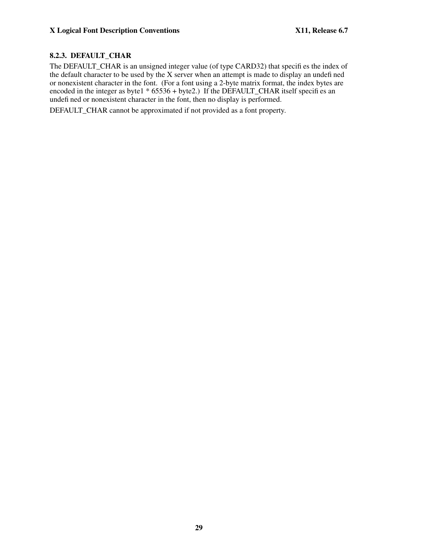### **8.2.3. DEFAULT\_CHAR**

The DEFAULT\_CHAR is an unsigned integer value (of type CARD32) that specifies the index of the default character to be used by the X server when an attempt is made to display an undefined or nonexistent character in the font. (For a font using a 2-byte matrix format, the index bytes are encoded in the integer as byte1  $*$  65536 + byte2.) If the DEFAULT\_CHAR itself specifies an undefined or nonexistent character in the font, then no display is performed.

DEFAULT\_CHAR cannot be approximated if not provided as a font property.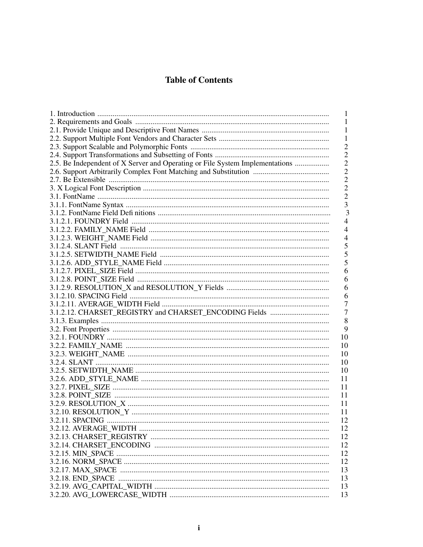# **Table of Contents**

|                                                                              | 1              |
|------------------------------------------------------------------------------|----------------|
|                                                                              | 1              |
|                                                                              | 1              |
|                                                                              | 1              |
|                                                                              | $\overline{2}$ |
|                                                                              | $\overline{2}$ |
| 2.5. Be Independent of X Server and Operating or File System Implementations | $\overline{2}$ |
|                                                                              | $\overline{2}$ |
|                                                                              | $\overline{2}$ |
|                                                                              | $\overline{2}$ |
|                                                                              | $\overline{2}$ |
|                                                                              | 3              |
|                                                                              | 3              |
|                                                                              | $\overline{4}$ |
|                                                                              | $\overline{4}$ |
|                                                                              | $\overline{4}$ |
|                                                                              | 5              |
|                                                                              | 5              |
|                                                                              | 5              |
|                                                                              | 6              |
|                                                                              | 6              |
|                                                                              | 6              |
|                                                                              | 6              |
|                                                                              | $\overline{7}$ |
|                                                                              | $\overline{7}$ |
|                                                                              | 8              |
|                                                                              | 9              |
|                                                                              |                |
|                                                                              | 10             |
|                                                                              | 10             |
|                                                                              | 10             |
|                                                                              | 10             |
|                                                                              | 10             |
|                                                                              | 11             |
|                                                                              | 11             |
|                                                                              | 11             |
|                                                                              | 11             |
|                                                                              | 11             |
|                                                                              | 12             |
|                                                                              | 12             |
|                                                                              | 12             |
|                                                                              | 12             |
|                                                                              | 12             |
|                                                                              | 12             |
|                                                                              | 13             |
|                                                                              | 13             |
|                                                                              | 13             |
|                                                                              | 13             |